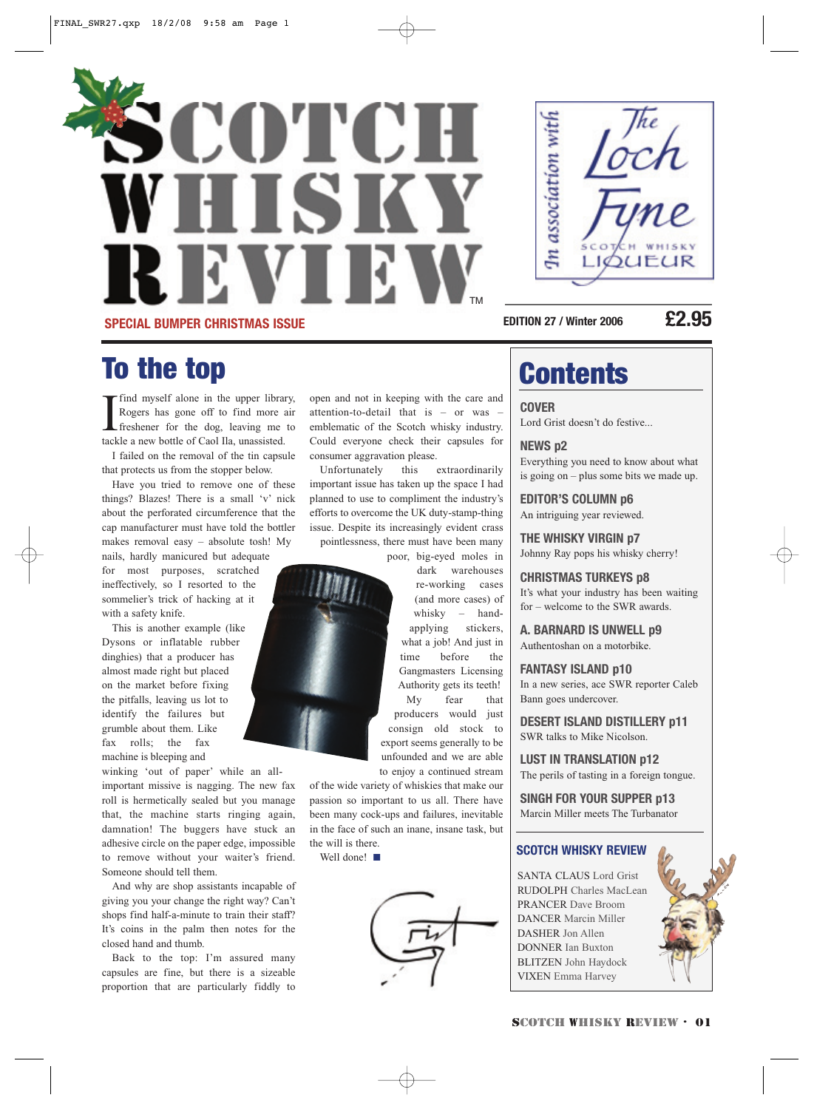



**EDITION 27 / Winter 2006 £2.95**

## To the top and a contents

If ind myself alone in the upper librar<br>Rogers has gone off to find more a<br>freshener for the dog, leaving me<br>tackle a new bottle of Caol Ila, unassisted. find myself alone in the upper library, Rogers has gone off to find more air freshener for the dog, leaving me to

I failed on the removal of the tin capsule that protects us from the stopper below.

Have you tried to remove one of these things? Blazes! There is a small 'v' nick about the perforated circumference that the cap manufacturer must have told the bottler makes removal easy – absolute tosh! My nails, hardly manicured but adequate for most purposes, scratched ineffectively, so I resorted to the sommelier's trick of hacking at it

This is another example (like Dysons or inflatable rubber dinghies) that a producer has almost made right but placed on the market before fixing the pitfalls, leaving us lot to identify the failures but grumble about them. Like fax rolls; the fax machine is bleeping and

with a safety knife.

winking 'out of paper' while an allimportant missive is nagging. The new fax roll is hermetically sealed but you manage that, the machine starts ringing again, damnation! The buggers have stuck an adhesive circle on the paper edge, impossible to remove without your waiter's friend. Someone should tell them.

And why are shop assistants incapable of giving you your change the right way? Can't shops find half-a-minute to train their staff? It's coins in the palm then notes for the closed hand and thumb.

Back to the top: I'm assured many capsules are fine, but there is a sizeable proportion that are particularly fiddly to open and not in keeping with the care and attention-to-detail that is – or was – emblematic of the Scotch whisky industry. Could everyone check their capsules for consumer aggravation please.

Unfortunately this extraordinarily important issue has taken up the space I had planned to use to compliment the industry's efforts to overcome the UK duty-stamp-thing issue. Despite its increasingly evident crass pointlessness, there must have been many

poor, big-eyed moles in

dark warehouses re-working cases (and more cases) of whisky – handapplying stickers, what a job! And just in time before the Gangmasters Licensing Authority gets its teeth!

My fear that producers would just consign old stock to export seems generally to be unfounded and we are able to enjoy a continued stream

of the wide variety of whiskies that make our passion so important to us all. There have been many cock-ups and failures, inevitable in the face of such an inane, insane task, but the will is there.

Well done!



**COVER** Lord Grist doesn't do festive...

**NEWS p2** Everything you need to know about what is going on – plus some bits we made up.

**EDITOR'S COLUMN p6**  An intriguing year reviewed.

**THE WHISKY VIRGIN p7** Johnny Ray pops his whisky cherry!

**CHRISTMAS TURKEYS p8** It's what your industry has been waiting for – welcome to the SWR awards.

**A. BARNARD IS UNWELL p9** Authentoshan on a motorbike.

**FANTASY ISLAND p10** In a new series, ace SWR reporter Caleb Bann goes undercover.

**DESERT ISLAND DISTILLERY p11** SWR talks to Mike Nicolson.

**LUST IN TRANSLATION p12** The perils of tasting in a foreign tongue.

**SINGH FOR YOUR SUPPER p13** Marcin Miller meets The Turbanator

#### **SCOTCH WHISKY REVIEW**

SANTA CLAUS Lord Grist RUDOLPH Charles MacLean PRANCER Dave Broom DANCER Marcin Miller DASHER Jon Allen DONNER Ian Buxton BLITZEN John Haydock VIXEN Emma Harvey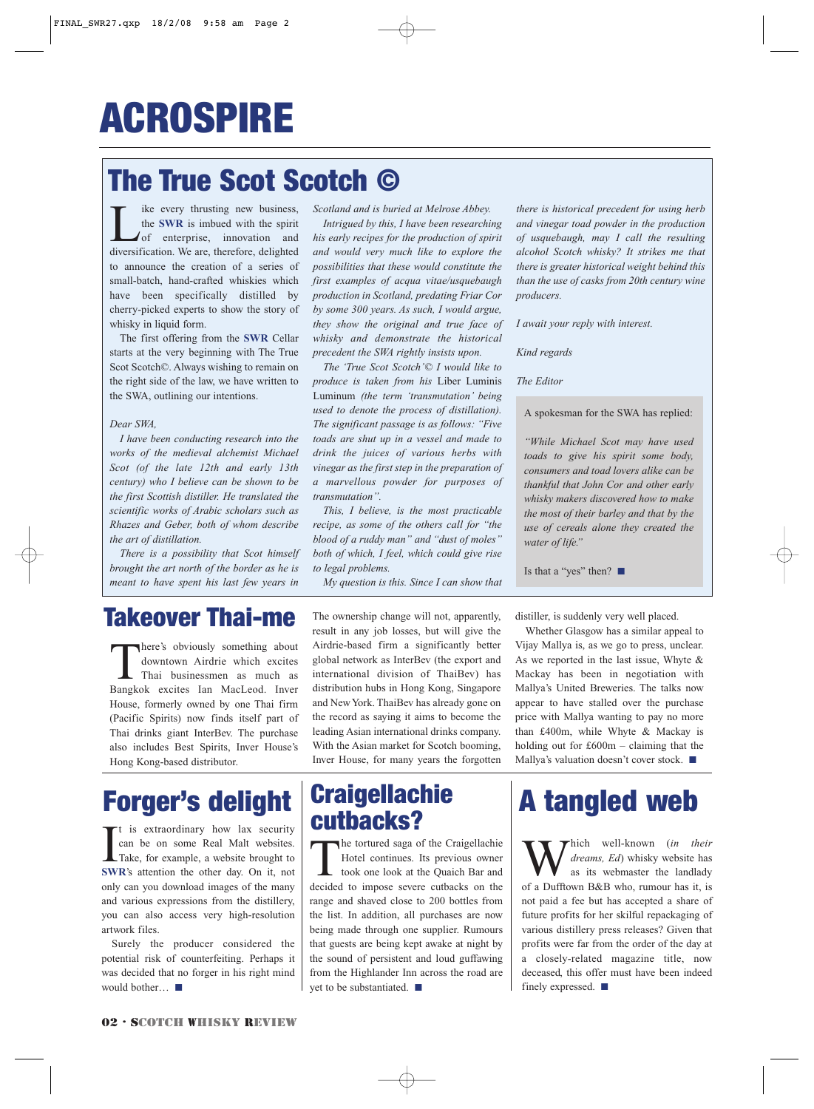## The True Scot Scotch ©

 $\sum_{\text{the}}$  ike every thrusting new business,<br>the **SWR** is imbued with the spirit<br>of enterprise, innovation and<br>diversification We are therefore delighted the **SWR** is imbued with the spirit of enterprise, innovation and diversification. We are, therefore, delighted to announce the creation of a series of small-batch, hand-crafted whiskies which have been specifically distilled by cherry-picked experts to show the story of whisky in liquid form.

The first offering from the **SWR** Cellar starts at the very beginning with The True Scot Scotch©. Always wishing to remain on the right side of the law, we have written to the SWA, outlining our intentions.

#### *Dear SWA,*

*I have been conducting research into the works of the medieval alchemist Michael Scot (of the late 12th and early 13th century) who I believe can be shown to be the first Scottish distiller. He translated the scientific works of Arabic scholars such as Rhazes and Geber, both of whom describe the art of distillation.* 

*There is a possibility that Scot himself brought the art north of the border as he is meant to have spent his last few years in*

*Scotland and is buried at Melrose Abbey.*

*Intrigued by this, I have been researching his early recipes for the production of spirit and would very much like to explore the possibilities that these would constitute the first examples of acqua vitae/usquebaugh production in Scotland, predating Friar Cor by some 300 years. As such, I would argue, they show the original and true face of whisky and demonstrate the historical precedent the SWA rightly insists upon.*

*The 'True Scot Scotch'© I would like to produce is taken from his* Liber Luminis Luminum *(the term 'transmutation' being used to denote the process of distillation). The significant passage is as follows: "Five toads are shut up in a vessel and made to drink the juices of various herbs with vinegar as the first step in the preparation of a marvellous powder for purposes of transmutation".* 

*This, I believe, is the most practicable recipe, as some of the others call for "the blood of a ruddy man" and "dust of moles" both of which, I feel, which could give rise to legal problems.*

*My question is this. Since I can show that*

*there is historical precedent for using herb and vinegar toad powder in the production of usquebaugh, may I call the resulting alcohol Scotch whisky? It strikes me that there is greater historical weight behind this than the use of casks from 20th century wine producers.* 

*I await your reply with interest.*

*Kind regards*

*The Editor* 

A spokesman for the SWA has replied:

*"While Michael Scot may have used toads to give his spirit some body, consumers and toad lovers alike can be thankful that John Cor and other early whisky makers discovered how to make the most of their barley and that by the use of cereals alone they created the water of life."*

Is that a "yes" then? ■

### Takeover Thai-me

There's obviously something about downtown Airdrie which excites Thai businessmen as much as Bangkok excites Ian MacLeod. Inver House, formerly owned by one Thai firm (Pacific Spirits) now finds itself part of Thai drinks giant InterBev. The purchase also includes Best Spirits, Inver House's Hong Kong-based distributor.

## Forger's delight

It is extraordinary how lax security<br>can be on some Real Malt websites.<br>Take, for example, a website brought to<br>**SWR's** attention the other day. On it, not t is extraordinary how lax security can be on some Real Malt websites. Take, for example, a website brought to only can you download images of the many and various expressions from the distillery, you can also access very high-resolution artwork files.

Surely the producer considered the potential risk of counterfeiting. Perhaps it was decided that no forger in his right mind would bother… ■

The ownership change will not, apparently, result in any job losses, but will give the Airdrie-based firm a significantly better global network as InterBev (the export and international division of ThaiBev) has distribution hubs in Hong Kong, Singapore and New York. ThaiBev has already gone on the record as saying it aims to become the leading Asian international drinks company. With the Asian market for Scotch booming, Inver House, for many years the forgotten

### **Craigellachie** cutbacks?

The tortured saga of the Craigellachie<br>Hotel continues. Its previous owner<br>took one look at the Quaich Bar and<br>decided to impose severe cutbacks on the Hotel continues. Its previous owner took one look at the Quaich Bar and decided to impose severe cutbacks on the range and shaved close to 200 bottles from the list. In addition, all purchases are now being made through one supplier. Rumours that guests are being kept awake at night by the sound of persistent and loud guffawing from the Highlander Inn across the road are yet to be substantiated. ■

distiller, is suddenly very well placed.

Whether Glasgow has a similar appeal to Vijay Mallya is, as we go to press, unclear. As we reported in the last issue, Whyte & Mackay has been in negotiation with Mallya's United Breweries. The talks now appear to have stalled over the purchase price with Mallya wanting to pay no more than £400m, while Whyte & Mackay is holding out for  $£600m - claiming that the$ Mallya's valuation doesn't cover stock. ■

## A tangled web

Which well-known (*in their*<br>as its webmaster the landlady<br>of a Dufftown B&B who rumour has it is *dreams, Ed*) whisky website has as its webmaster the landlady of a Dufftown B&B who, rumour has it, is not paid a fee but has accepted a share of future profits for her skilful repackaging of various distillery press releases? Given that profits were far from the order of the day at a closely-related magazine title, now deceased, this offer must have been indeed finely expressed. ■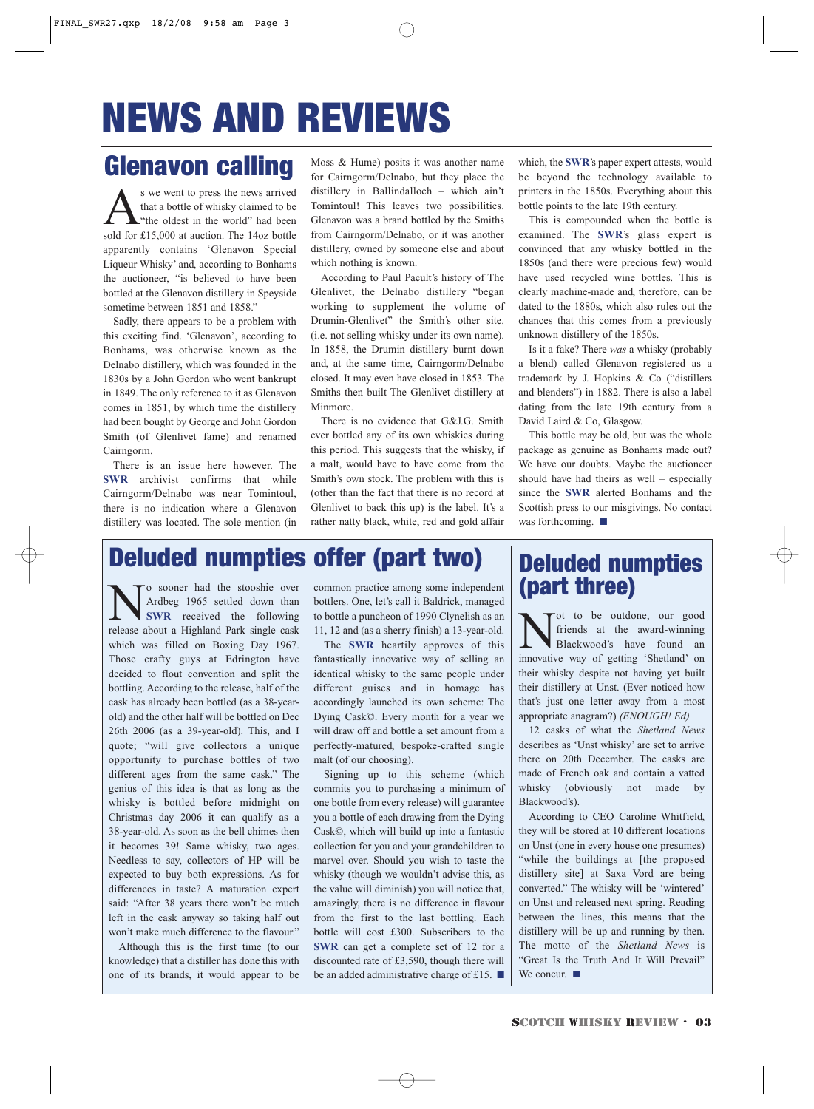# NEWS AND REVIEWS

### Glenavon calling

 $\sum_{\text{the other}}$  s we went to press the news arrived<br>that a bottle of whisky claimed to be<br>sold for £15,000 at auction. The 1402 bottle that a bottle of whisky claimed to be "the oldest in the world" had been sold for £15,000 at auction. The 14oz bottle apparently contains 'Glenavon Special Liqueur Whisky' and, according to Bonhams the auctioneer, "is believed to have been bottled at the Glenavon distillery in Speyside sometime between 1851 and 1858."

Sadly, there appears to be a problem with this exciting find. 'Glenavon', according to Bonhams, was otherwise known as the Delnabo distillery, which was founded in the 1830s by a John Gordon who went bankrupt in 1849. The only reference to it as Glenavon comes in 1851, by which time the distillery had been bought by George and John Gordon Smith (of Glenlivet fame) and renamed Cairngorm.

There is an issue here however. The **SWR** archivist confirms that while Cairngorm/Delnabo was near Tomintoul, there is no indication where a Glenavon distillery was located. The sole mention (in

Moss & Hume) posits it was another name for Cairngorm/Delnabo, but they place the distillery in Ballindalloch – which ain't Tomintoul! This leaves two possibilities. Glenavon was a brand bottled by the Smiths from Cairngorm/Delnabo, or it was another distillery, owned by someone else and about which nothing is known.

According to Paul Pacult's history of The Glenlivet, the Delnabo distillery "began working to supplement the volume of Drumin-Glenlivet" the Smith's other site. (i.e. not selling whisky under its own name). In 1858, the Drumin distillery burnt down and, at the same time, Cairngorm/Delnabo closed. It may even have closed in 1853. The Smiths then built The Glenlivet distillery at Minmore.

There is no evidence that G&J.G. Smith ever bottled any of its own whiskies during this period. This suggests that the whisky, if a malt, would have to have come from the Smith's own stock. The problem with this is (other than the fact that there is no record at Glenlivet to back this up) is the label. It's a rather natty black, white, red and gold affair

which, the **SWR**'s paper expert attests, would be beyond the technology available to printers in the 1850s. Everything about this bottle points to the late 19th century.

This is compounded when the bottle is examined. The **SWR**'s glass expert is convinced that any whisky bottled in the 1850s (and there were precious few) would have used recycled wine bottles. This is clearly machine-made and, therefore, can be dated to the 1880s, which also rules out the chances that this comes from a previously unknown distillery of the 1850s.

Is it a fake? There *was* a whisky (probably a blend) called Glenavon registered as a trademark by J. Hopkins & Co ("distillers and blenders") in 1882. There is also a label dating from the late 19th century from a David Laird & Co, Glasgow.

This bottle may be old, but was the whole package as genuine as Bonhams made out? We have our doubts. Maybe the auctioneer should have had theirs as well – especially since the **SWR** alerted Bonhams and the Scottish press to our misgivings. No contact was forthcoming. ■

### Deluded numpties offer (part two)

Sooner had the stooshie over common practice among some independent and the stood of 1996 settled down than bottlers. One, let's call it Baldrick, managed SWR received the following to bottle a puncheon of 1990 Clynelish a Ardbeg 1965 settled down than **SWR** received the following release about a Highland Park single cask which was filled on Boxing Day 1967. Those crafty guys at Edrington have decided to flout convention and split the bottling. According to the release, half of the cask has already been bottled (as a 38-yearold) and the other half will be bottled on Dec 26th 2006 (as a 39-year-old). This, and I quote; "will give collectors a unique opportunity to purchase bottles of two different ages from the same cask." The genius of this idea is that as long as the whisky is bottled before midnight on Christmas day 2006 it can qualify as a 38-year-old. As soon as the bell chimes then it becomes 39! Same whisky, two ages. Needless to say, collectors of HP will be expected to buy both expressions. As for differences in taste? A maturation expert said: "After 38 years there won't be much left in the cask anyway so taking half out won't make much difference to the flavour."

Although this is the first time (to our knowledge) that a distiller has done this with one of its brands, it would appear to be common practice among some independent bottlers. One, let's call it Baldrick, managed to bottle a puncheon of 1990 Clynelish as an 11, 12 and (as a sherry finish) a 13-year-old.

The **SWR** heartily approves of this fantastically innovative way of selling an identical whisky to the same people under different guises and in homage has accordingly launched its own scheme: The Dying Cask©. Every month for a year we will draw off and bottle a set amount from a perfectly-matured, bespoke-crafted single malt (of our choosing).

Signing up to this scheme (which commits you to purchasing a minimum of one bottle from every release) will guarantee you a bottle of each drawing from the Dying Cask©, which will build up into a fantastic collection for you and your grandchildren to marvel over. Should you wish to taste the whisky (though we wouldn't advise this, as the value will diminish) you will notice that, amazingly, there is no difference in flavour from the first to the last bottling. Each bottle will cost £300. Subscribers to the **SWR** can get a complete set of 12 for a discounted rate of £3,590, though there will be an added administrative charge of £15. ■

# Deluded numpties<br>(part three)

Tot to be outdone, our good friends at the award-winning Blackwood's have found an innovative way of getting 'Shetland' on their whisky despite not having yet built their distillery at Unst. (Ever noticed how that's just one letter away from a most appropriate anagram?) *(ENOUGH! Ed)*

12 casks of what the *Shetland News* describes as 'Unst whisky' are set to arrive there on 20th December. The casks are made of French oak and contain a vatted whisky (obviously not made by Blackwood's).

According to CEO Caroline Whitfield, they will be stored at 10 different locations on Unst (one in every house one presumes) "while the buildings at [the proposed distillery site] at Saxa Vord are being converted." The whisky will be 'wintered' on Unst and released next spring. Reading between the lines, this means that the distillery will be up and running by then. The motto of the *Shetland News* is "Great Is the Truth And It Will Prevail" We concur. ■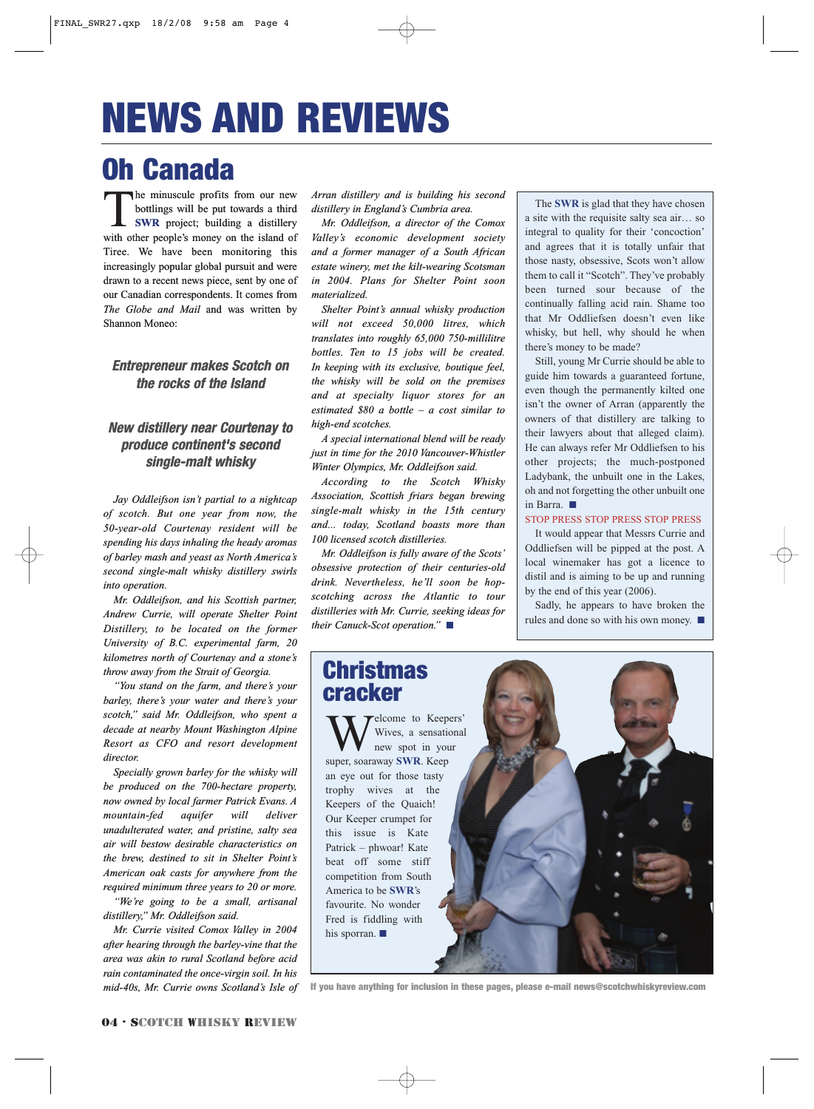# NEWS AND REVIEWS

## Oh Canada

The minuscule profits from our new<br>bottlings will be put towards a third<br>SWR project; building a distillery<br>with other people's money on the island of bottlings will be put towards a third **SWR** project; building a distillery with other people's money on the island of Tiree. We have been monitoring this increasingly popular global pursuit and were drawn to a recent news piece, sent by one of our Canadian correspondents. It comes from *The Globe and Mail* and was written by Shannon Moneo:

#### **Entrepreneur makes Scotch on the rocks of the Island**

#### **New distillery near Courtenay to produce continent's second single-malt whisky**

*Jay Oddleifson isn't partial to a nightcap of scotch. But one year from now, the 50-year-old Courtenay resident will be spending his days inhaling the heady aromas of barley mash and yeast as North America's second single-malt whisky distillery swirls into operation.*

*Mr. Oddleifson, and his Scottish partner, Andrew Currie, will operate Shelter Point Distillery, to be located on the former University of B.C. experimental farm, 20 kilometres north of Courtenay and a stone's throw away from the Strait of Georgia.*

*"You stand on the farm, and there's your barley, there's your water and there's your scotch," said Mr. Oddleifson, who spent a decade at nearby Mount Washington Alpine Resort as CFO and resort development director.*

*Specially grown barley for the whisky will be produced on the 700-hectare property, now owned by local farmer Patrick Evans. A mountain-fed aquifer will deliver unadulterated water, and pristine, salty sea air will bestow desirable characteristics on the brew, destined to sit in Shelter Point's American oak casts for anywhere from the required minimum three years to 20 or more.*

*"We're going to be a small, artisanal distillery," Mr. Oddleifson said.*

*Mr. Currie visited Comox Valley in 2004 after hearing through the barley-vine that the area was akin to rural Scotland before acid rain contaminated the once-virgin soil. In his mid-40s, Mr. Currie owns Scotland's Isle of*

*Arran distillery and is building his second distillery in England's Cumbria area.*

*Mr. Oddleifson, a director of the Comox Valley's economic development society and a former manager of a South African estate winery, met the kilt-wearing Scotsman in 2004. Plans for Shelter Point soon materialized.*

*Shelter Point's annual whisky production will not exceed 50,000 litres, which translates into roughly 65,000 750-millilitre bottles. Ten to 15 jobs will be created. In keeping with its exclusive, boutique feel, the whisky will be sold on the premises and at specialty liquor stores for an estimated \$80 a bottle – a cost similar to high-end scotches.*

*A special international blend will be ready just in time for the 2010 Vancouver-Whistler Winter Olympics, Mr. Oddleifson said.*

*According to the Scotch Whisky Association, Scottish friars began brewing single-malt whisky in the 15th century and... today, Scotland boasts more than 100 licensed scotch distilleries.*

*Mr. Oddleifson is fully aware of the Scots' obsessive protection of their centuries-old drink. Nevertheless, he'll soon be hopscotching across the Atlantic to tour distilleries with Mr. Currie, seeking ideas for their Canuck-Scot operation."* ■

The **SWR** is glad that they have chosen a site with the requisite salty sea air… so integral to quality for their 'concoction' and agrees that it is totally unfair that those nasty, obsessive, Scots won't allow them to call it "Scotch". They've probably been turned sour because of the continually falling acid rain. Shame too that Mr Oddliefsen doesn't even like whisky, but hell, why should he when there's money to be made?

Still, young Mr Currie should be able to guide him towards a guaranteed fortune, even though the permanently kilted one isn't the owner of Arran (apparently the owners of that distillery are talking to their lawyers about that alleged claim). He can always refer Mr Oddliefsen to his other projects; the much-postponed Ladybank, the unbuilt one in the Lakes, oh and not forgetting the other unbuilt one in Barra. ■

#### STOP PRESS STOP PRESS STOP PRESS

It would appear that Messrs Currie and Oddliefsen will be pipped at the post. A local winemaker has got a licence to distil and is aiming to be up and running by the end of this year (2006).

Sadly, he appears to have broken the rules and done so with his own money. ■

### **Christmas** cracker

Telcome to Keepers' Wives, a sensational new spot in your super, soaraway **SWR**. Keep an eye out for those tasty trophy wives at the Keepers of the Quaich! Our Keeper crumpet for this issue is Kate Patrick – phwoar! Kate beat off some stiff competition from South America to be **SWR**'s favourite. No wonder Fred is fiddling with his sporran. ■

If you have anything for inclusion in these pages, please e-mail news@scotchwhiskyreview.com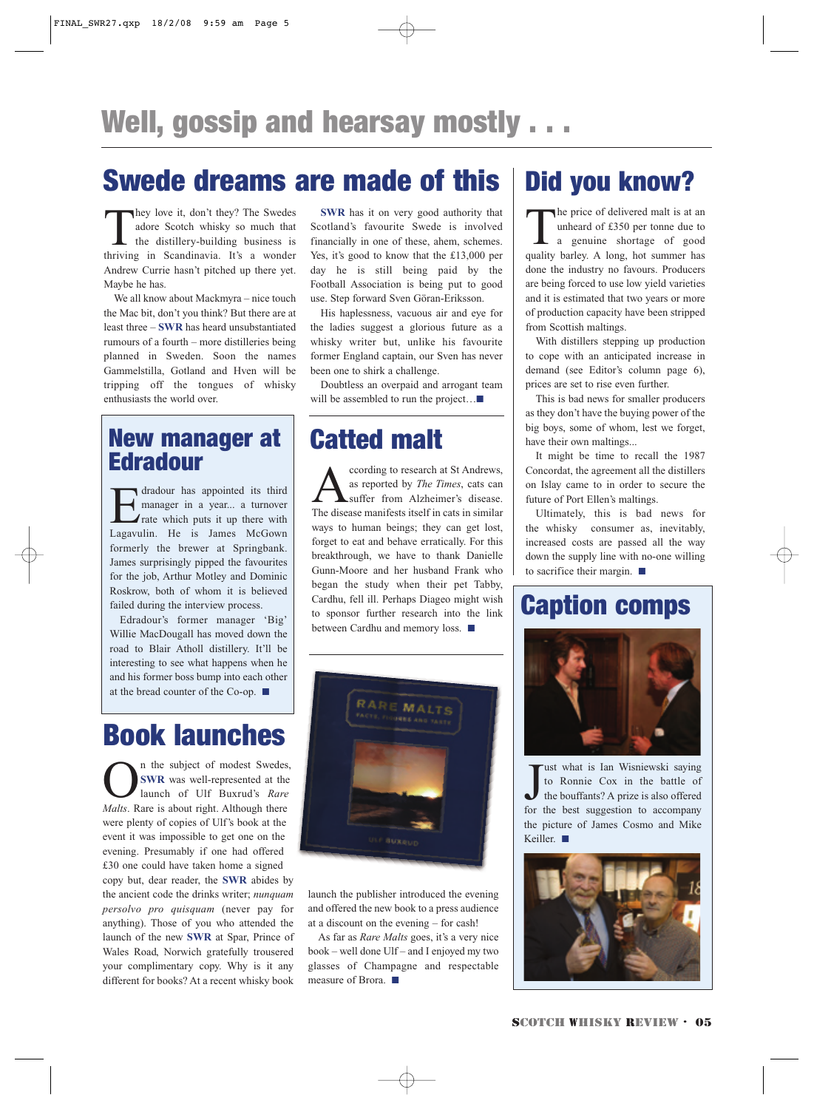### Swede dreams are made of this

They love it, don't they? The Swedes<br>adore Scotch whisky so much that<br>the distillery-building business is<br>thriving in Scandinavia It's a wonder adore Scotch whisky so much that the distillery-building business is thriving in Scandinavia. It's a wonder Andrew Currie hasn't pitched up there yet. Maybe he has.

We all know about Mackmyra – nice touch the Mac bit, don't you think? But there are at least three – **SWR** has heard unsubstantiated rumours of a fourth – more distilleries being planned in Sweden. Soon the names Gammelstilla, Gotland and Hven will be tripping off the tongues of whisky enthusiasts the world over.

### New manager at Edradour

dradour has appointed its third<br>manager in a year... a turnover<br>rate which puts it up there with manager in a year... a turnover rate which puts it up there with Lagavulin. He is James McGown formerly the brewer at Springbank. James surprisingly pipped the favourites for the job, Arthur Motley and Dominic Roskrow, both of whom it is believed failed during the interview process.

Edradour's former manager 'Big' Willie MacDougall has moved down the road to Blair Atholl distillery. It'll be interesting to see what happens when he and his former boss bump into each other at the bread counter of the Co-op. ■

## Book launches

n the subject of modest Swedes, **SWR** was well-represented at the launch of Ulf Buxrud's *Rare Malts*. Rare is about right. Although there were plenty of copies of Ulf's book at the event it was impossible to get one on the evening. Presumably if one had offered £30 one could have taken home a signed copy but, dear reader, the **SWR** abides by the ancient code the drinks writer; *nunquam persolvo pro quisquam* (never pay for anything). Those of you who attended the launch of the new **SWR** at Spar, Prince of Wales Road, Norwich gratefully trousered your complimentary copy. Why is it any different for books? At a recent whisky book

**SWR** has it on very good authority that Scotland's favourite Swede is involved financially in one of these, ahem, schemes. Yes, it's good to know that the £13,000 per day he is still being paid by the Football Association is being put to good use. Step forward Sven Göran-Eriksson.

His haplessness, vacuous air and eye for the ladies suggest a glorious future as a whisky writer but, unlike his favourite former England captain, our Sven has never been one to shirk a challenge.

Doubtless an overpaid and arrogant team will be assembled to run the project…■

### Catted malt

cording to research at St Andrews,<br>as reported by *The Times*, cats can<br>The disease manifests itself in cats in similar as reported by *The Times*, cats can suffer from Alzheimer's disease. The disease manifests itself in cats in similar ways to human beings; they can get lost, forget to eat and behave erratically. For this breakthrough, we have to thank Danielle Gunn-Moore and her husband Frank who began the study when their pet Tabby, Cardhu, fell ill. Perhaps Diageo might wish to sponsor further research into the link between Cardhu and memory loss. ■



launch the publisher introduced the evening and offered the new book to a press audience at a discount on the evening – for cash!

As far as *Rare Malts* goes, it's a very nice book – well done Ulf – and I enjoyed my two glasses of Champagne and respectable measure of Brora. ■

### Did you know?

The price of delivered malt is at an<br>unheard of £350 per tonne due to<br>a genuine shortage of good<br>quality barley A long bot summer bas unheard of £350 per tonne due to a genuine shortage of good quality barley. A long, hot summer has done the industry no favours. Producers are being forced to use low yield varieties and it is estimated that two years or more of production capacity have been stripped from Scottish maltings.

With distillers stepping up production to cope with an anticipated increase in demand (see Editor's column page 6), prices are set to rise even further.

This is bad news for smaller producers as they don't have the buying power of the big boys, some of whom, lest we forget, have their own maltings...

It might be time to recall the 1987 Concordat, the agreement all the distillers on Islay came to in order to secure the future of Port Ellen's maltings.

Ultimately, this is bad news for the whisky consumer as, inevitably, increased costs are passed all the way down the supply line with no-one willing to sacrifice their margin. ■

### Caption comps



Just what is Ian Wisniewski saying<br>to Ronnie Cox in the battle of<br>the bouffants? A prize is also offered<br>for the best suggestion to accompany ust what is Ian Wisniewski saying to Ronnie Cox in the battle of the bouffants? A prize is also offered the picture of James Cosmo and Mike Keiller. ■

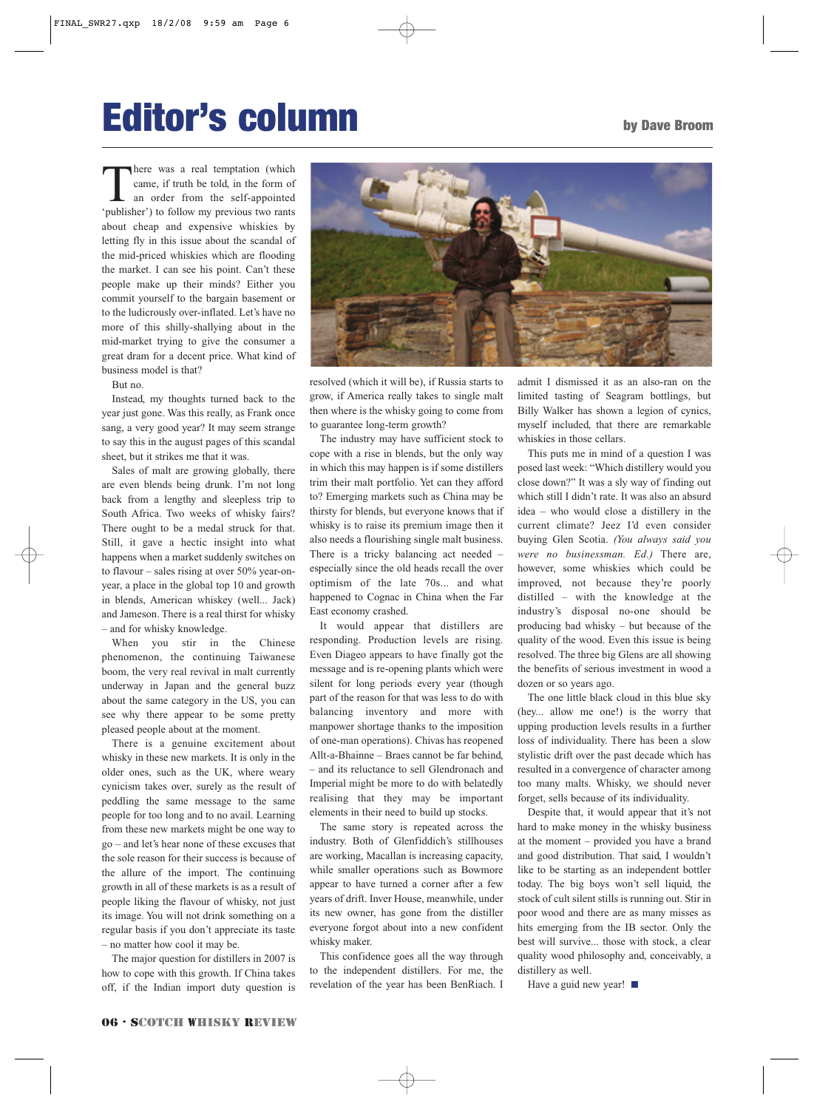## Editor's column

There was a real temptation (which came, if truth be told, in the form of an order from the self-appointed 'publisher') to follow my previous two rants about cheap and expensive whiskies by letting fly in this issue about the scandal of the mid-priced whiskies which are flooding the market. I can see his point. Can't these people make up their minds? Either you commit yourself to the bargain basement or to the ludicrously over-inflated. Let's have no more of this shilly-shallying about in the mid-market trying to give the consumer a great dram for a decent price. What kind of business model is that?

But no.

Instead, my thoughts turned back to the year just gone. Was this really, as Frank once sang, a very good year? It may seem strange to say this in the august pages of this scandal sheet, but it strikes me that it was.

Sales of malt are growing globally, there are even blends being drunk. I'm not long back from a lengthy and sleepless trip to South Africa. Two weeks of whisky fairs? There ought to be a medal struck for that. Still, it gave a hectic insight into what happens when a market suddenly switches on to flavour – sales rising at over 50% year-onyear, a place in the global top 10 and growth in blends, American whiskey (well... Jack) and Jameson. There is a real thirst for whisky – and for whisky knowledge.

When you stir in the Chinese phenomenon, the continuing Taiwanese boom, the very real revival in malt currently underway in Japan and the general buzz about the same category in the US, you can see why there appear to be some pretty pleased people about at the moment.

There is a genuine excitement about whisky in these new markets. It is only in the older ones, such as the UK, where weary cynicism takes over, surely as the result of peddling the same message to the same people for too long and to no avail. Learning from these new markets might be one way to go – and let's hear none of these excuses that the sole reason for their success is because of the allure of the import. The continuing growth in all of these markets is as a result of people liking the flavour of whisky, not just its image. You will not drink something on a regular basis if you don't appreciate its taste – no matter how cool it may be.

The major question for distillers in 2007 is how to cope with this growth. If China takes off, if the Indian import duty question is



resolved (which it will be), if Russia starts to grow, if America really takes to single malt then where is the whisky going to come from to guarantee long-term growth?

The industry may have sufficient stock to cope with a rise in blends, but the only way in which this may happen is if some distillers trim their malt portfolio. Yet can they afford to? Emerging markets such as China may be thirsty for blends, but everyone knows that if whisky is to raise its premium image then it also needs a flourishing single malt business. There is a tricky balancing act needed – especially since the old heads recall the over optimism of the late 70s... and what happened to Cognac in China when the Far East economy crashed.

It would appear that distillers are responding. Production levels are rising. Even Diageo appears to have finally got the message and is re-opening plants which were silent for long periods every year (though part of the reason for that was less to do with balancing inventory and more with manpower shortage thanks to the imposition of one-man operations). Chivas has reopened Allt-a-Bhainne – Braes cannot be far behind, – and its reluctance to sell Glendronach and Imperial might be more to do with belatedly realising that they may be important elements in their need to build up stocks.

The same story is repeated across the industry. Both of Glenfiddich's stillhouses are working, Macallan is increasing capacity, while smaller operations such as Bowmore appear to have turned a corner after a few years of drift. Inver House, meanwhile, under its new owner, has gone from the distiller everyone forgot about into a new confident whisky maker.

This confidence goes all the way through to the independent distillers. For me, the revelation of the year has been BenRiach. I admit I dismissed it as an also-ran on the limited tasting of Seagram bottlings, but Billy Walker has shown a legion of cynics, myself included, that there are remarkable whiskies in those cellars.

This puts me in mind of a question I was posed last week: "Which distillery would you close down?" It was a sly way of finding out which still I didn't rate. It was also an absurd idea – who would close a distillery in the current climate? Jeez I'd even consider buying Glen Scotia. *(You always said you were no businessman. Ed.)* There are, however, some whiskies which could be improved, not because they're poorly distilled – with the knowledge at the industry's disposal no-one should be producing bad whisky – but because of the quality of the wood. Even this issue is being resolved. The three big Glens are all showing the benefits of serious investment in wood a dozen or so years ago.

The one little black cloud in this blue sky (hey... allow me one!) is the worry that upping production levels results in a further loss of individuality. There has been a slow stylistic drift over the past decade which has resulted in a convergence of character among too many malts. Whisky, we should never forget, sells because of its individuality.

Despite that, it would appear that it's not hard to make money in the whisky business at the moment – provided you have a brand and good distribution. That said, I wouldn't like to be starting as an independent bottler today. The big boys won't sell liquid, the stock of cult silent stills is running out. Stir in poor wood and there are as many misses as hits emerging from the IB sector. Only the best will survive... those with stock, a clear quality wood philosophy and, conceivably, a distillery as well.

Have a guid new year! ■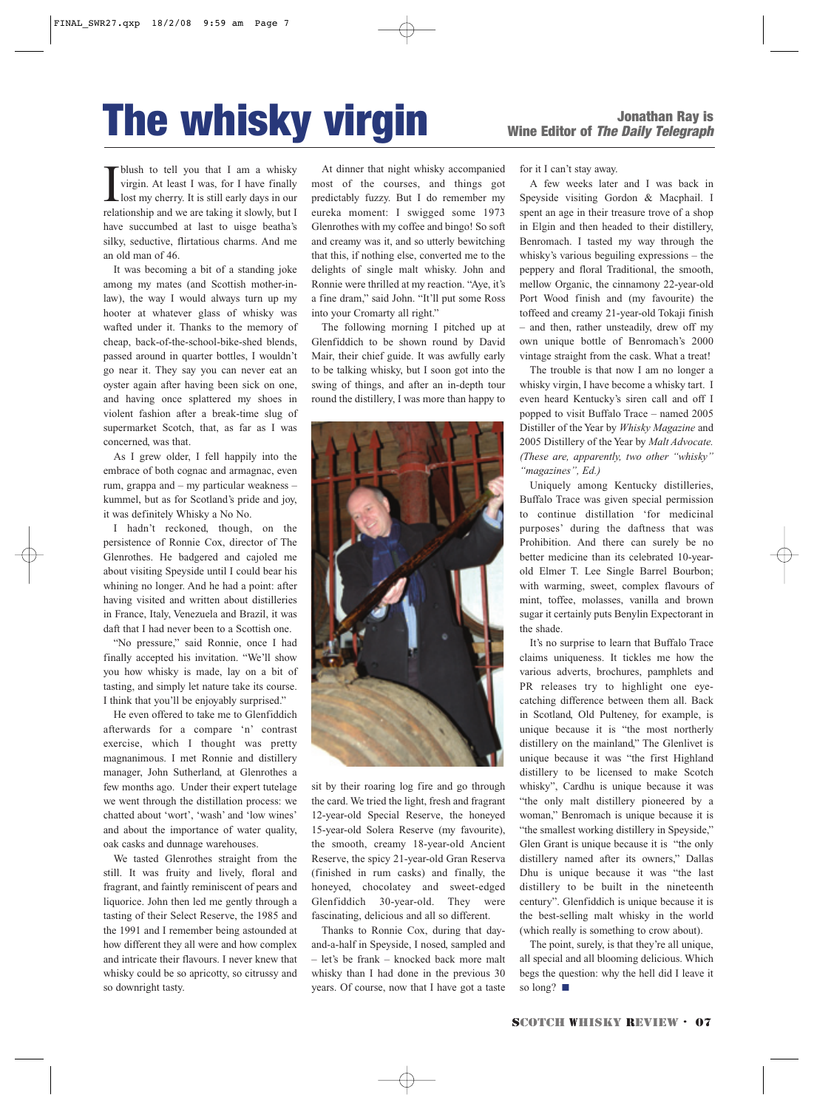# **The whisky virgin** Wine Editor of *The Danathan Ray is*

**I** blush to tell you that I am a whisky virgin. At least I was, for I have finally lost my cherry. It is still early days in our relationship and we are taking it slowly, but I blush to tell you that I am a whisky virgin. At least I was, for I have finally lost my cherry. It is still early days in our have succumbed at last to uisge beatha's silky, seductive, flirtatious charms. And me an old man of 46.

It was becoming a bit of a standing joke among my mates (and Scottish mother-inlaw), the way I would always turn up my hooter at whatever glass of whisky was wafted under it. Thanks to the memory of cheap, back-of-the-school-bike-shed blends, passed around in quarter bottles, I wouldn't go near it. They say you can never eat an oyster again after having been sick on one, and having once splattered my shoes in violent fashion after a break-time slug of supermarket Scotch, that, as far as I was concerned, was that.

As I grew older, I fell happily into the embrace of both cognac and armagnac, even rum, grappa and – my particular weakness – kummel, but as for Scotland's pride and joy, it was definitely Whisky a No No.

I hadn't reckoned, though, on the persistence of Ronnie Cox, director of The Glenrothes. He badgered and cajoled me about visiting Speyside until I could bear his whining no longer. And he had a point: after having visited and written about distilleries in France, Italy, Venezuela and Brazil, it was daft that I had never been to a Scottish one.

"No pressure," said Ronnie, once I had finally accepted his invitation. "We'll show you how whisky is made, lay on a bit of tasting, and simply let nature take its course. I think that you'll be enjoyably surprised."

He even offered to take me to Glenfiddich afterwards for a compare 'n' contrast exercise, which I thought was pretty magnanimous. I met Ronnie and distillery manager, John Sutherland, at Glenrothes a few months ago. Under their expert tutelage we went through the distillation process: we chatted about 'wort', 'wash' and 'low wines' and about the importance of water quality, oak casks and dunnage warehouses.

We tasted Glenrothes straight from the still. It was fruity and lively, floral and fragrant, and faintly reminiscent of pears and liquorice. John then led me gently through a tasting of their Select Reserve, the 1985 and the 1991 and I remember being astounded at how different they all were and how complex and intricate their flavours. I never knew that whisky could be so apricotty, so citrussy and so downright tasty.

At dinner that night whisky accompanied most of the courses, and things got predictably fuzzy. But I do remember my eureka moment: I swigged some 1973 Glenrothes with my coffee and bingo! So soft and creamy was it, and so utterly bewitching that this, if nothing else, converted me to the delights of single malt whisky. John and Ronnie were thrilled at my reaction. "Aye, it's a fine dram," said John. "It'll put some Ross into your Cromarty all right."

The following morning I pitched up at Glenfiddich to be shown round by David Mair, their chief guide. It was awfully early to be talking whisky, but I soon got into the swing of things, and after an in-depth tour round the distillery, I was more than happy to



sit by their roaring log fire and go through the card. We tried the light, fresh and fragrant 12-year-old Special Reserve, the honeyed 15-year-old Solera Reserve (my favourite), the smooth, creamy 18-year-old Ancient Reserve, the spicy 21-year-old Gran Reserva (finished in rum casks) and finally, the honeyed, chocolatey and sweet-edged Glenfiddich 30-year-old. They were fascinating, delicious and all so different.

Thanks to Ronnie Cox, during that dayand-a-half in Speyside, I nosed, sampled and – let's be frank – knocked back more malt whisky than I had done in the previous 30 years. Of course, now that I have got a taste for it I can't stay away.

A few weeks later and I was back in Speyside visiting Gordon & Macphail. I spent an age in their treasure trove of a shop in Elgin and then headed to their distillery, Benromach. I tasted my way through the whisky's various beguiling expressions – the peppery and floral Traditional, the smooth, mellow Organic, the cinnamony 22-year-old Port Wood finish and (my favourite) the toffeed and creamy 21-year-old Tokaji finish – and then, rather unsteadily, drew off my own unique bottle of Benromach's 2000 vintage straight from the cask. What a treat!

The trouble is that now I am no longer a whisky virgin, I have become a whisky tart. I even heard Kentucky's siren call and off I popped to visit Buffalo Trace – named 2005 Distiller of the Year by *Whisky Magazine* and 2005 Distillery of the Year by *Malt Advocate. (These are, apparently, two other "whisky" "magazines", Ed.)*

Uniquely among Kentucky distilleries, Buffalo Trace was given special permission to continue distillation 'for medicinal purposes' during the daftness that was Prohibition. And there can surely be no better medicine than its celebrated 10-yearold Elmer T. Lee Single Barrel Bourbon; with warming, sweet, complex flavours of mint, toffee, molasses, vanilla and brown sugar it certainly puts Benylin Expectorant in the shade.

It's no surprise to learn that Buffalo Trace claims uniqueness. It tickles me how the various adverts, brochures, pamphlets and PR releases try to highlight one eyecatching difference between them all. Back in Scotland, Old Pulteney, for example, is unique because it is "the most northerly distillery on the mainland," The Glenlivet is unique because it was "the first Highland distillery to be licensed to make Scotch whisky". Cardhu is unique because it was "the only malt distillery pioneered by a woman," Benromach is unique because it is "the smallest working distillery in Speyside," Glen Grant is unique because it is "the only distillery named after its owners," Dallas Dhu is unique because it was "the last distillery to be built in the nineteenth century". Glenfiddich is unique because it is the best-selling malt whisky in the world (which really is something to crow about).

The point, surely, is that they're all unique, all special and all blooming delicious. Which begs the question: why the hell did I leave it so long? ■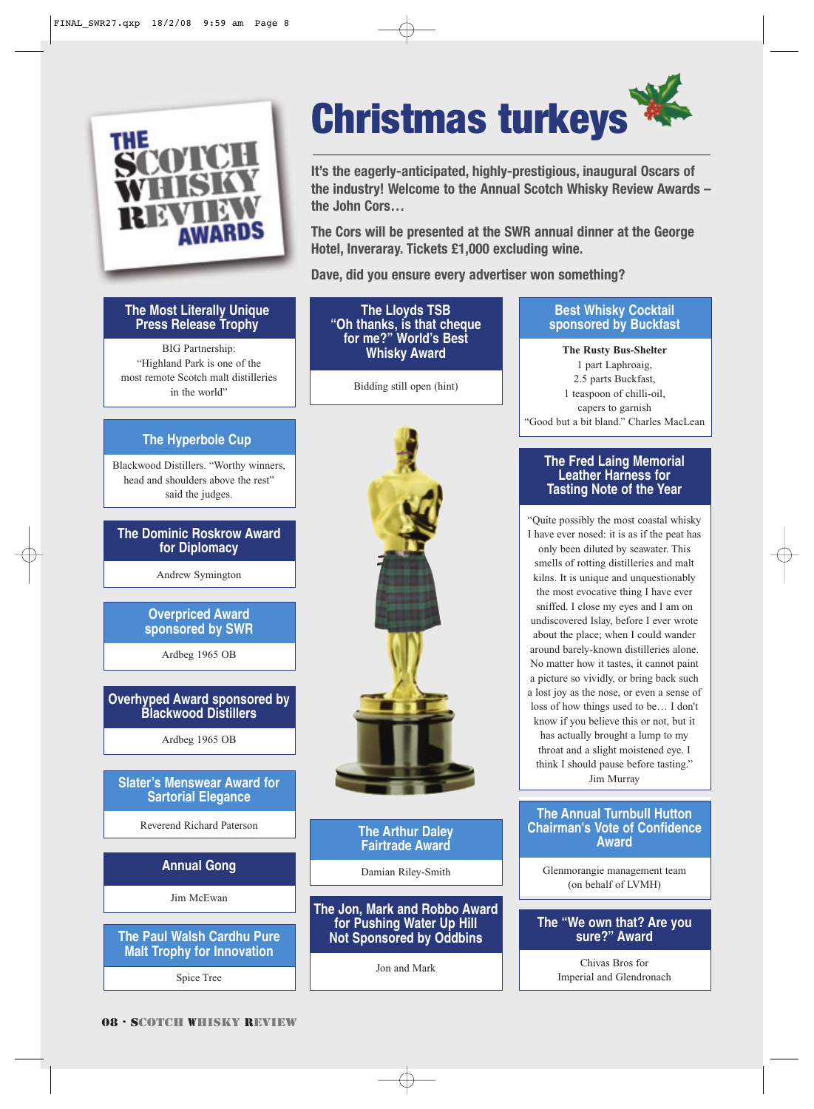

#### **The Most Literally Unique Press Release Trophy**

BIG Partnership: "Highland Park is one of the most remote Scotch malt distilleries in the world"

#### **The Hyperbole Cup**

Blackwood Distillers. "Worthy winners, head and shoulders above the rest" said the judges.

#### **The Dominic Roskrow Award for Diplomacy**

Andrew Symington

#### **Overpriced Award sponsored by SWR**

Ardbeg 1965 OB

#### **Overhyped Award sponsored by Blackwood Distillers**

Ardbeg 1965 OB

#### **Slater's Menswear Award for Sartorial Elegance**

Reverend Richard Paterson

#### **Annual Gong**

Jim McEwan

#### **The Paul Walsh Cardhu Pure Malt Trophy for Innovation**

Spice Tree

# Christmas turkeys

**It's the eagerly-anticipated, highly-prestigious, inaugural Oscars of the industry! Welcome to the Annual Scotch Whisky Review Awards – the John Cors…**

**The Cors will be presented at the SWR annual dinner at the George Hotel, Inveraray. Tickets £1,000 excluding wine.**

**Dave, did you ensure every advertiser won something?**

**The Lloyds TSB "Oh thanks, is that cheque for me?" World's Best Whisky Award**

Bidding still open (hint)



**The Arthur Daley Fairtrade Award**

Damian Riley-Smith

#### **The Jon, Mark and Robbo Award for Pushing Water Up Hill Not Sponsored by Oddbins**

Jon and Mark

#### **Best Whisky Cocktail sponsored by Buckfast**

**The Rusty Bus-Shelter** 1 part Laphroaig, 2.5 parts Buckfast, 1 teaspoon of chilli-oil, capers to garnish "Good but a bit bland." Charles MacLean

#### **The Fred Laing Memorial Leather Harness for Tasting Note of the Year**

"Quite possibly the most coastal whisky I have ever nosed: it is as if the peat has only been diluted by seawater. This smells of rotting distilleries and malt kilns. It is unique and unquestionably the most evocative thing I have ever sniffed. I close my eyes and I am on undiscovered Islay, before I ever wrote about the place; when I could wander around barely-known distilleries alone. No matter how it tastes, it cannot paint a picture so vividly, or bring back such a lost joy as the nose, or even a sense of loss of how things used to be… I don't know if you believe this or not, but it has actually brought a lump to my throat and a slight moistened eye. I think I should pause before tasting." Jim Murray

#### **The Annual Turnbull Hutton Chairman's Vote of Confidence Award**

Glenmorangie management team (on behalf of LVMH)

#### **The "We own that? Are you sure?" Award**

Chivas Bros for Imperial and Glendronach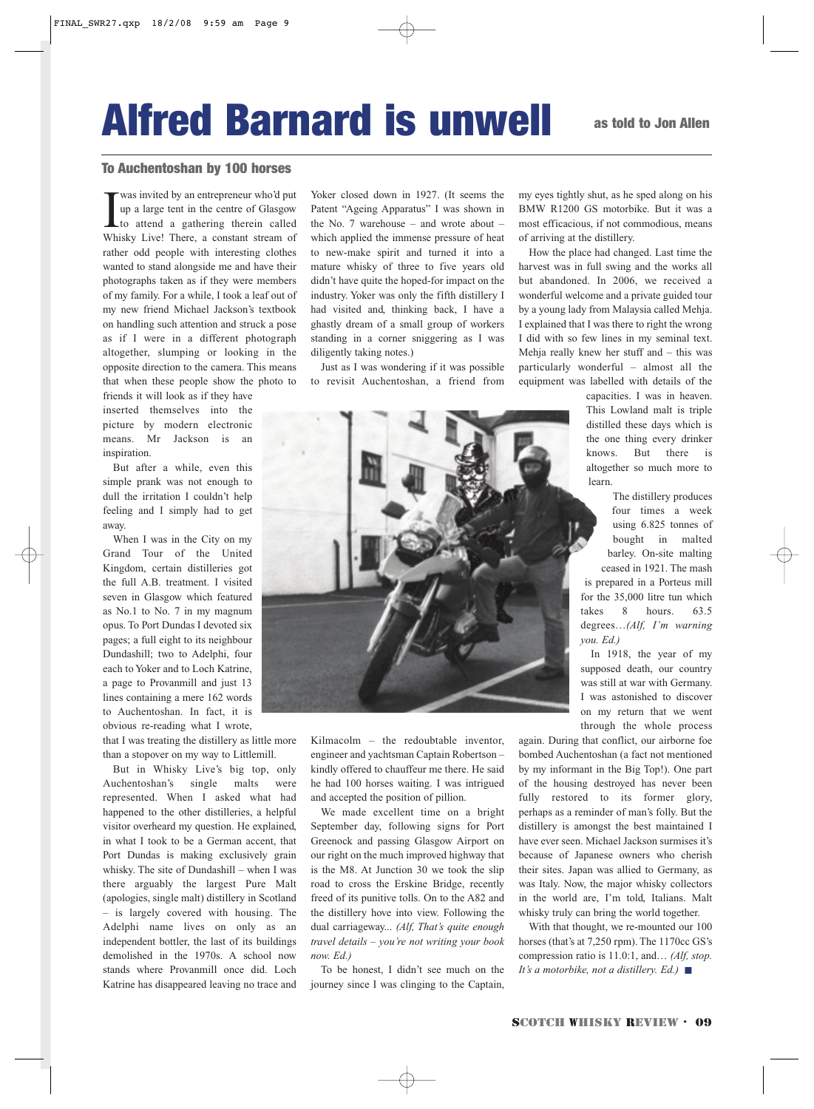# Alfred Barnard is unwell as told to Jon Allen

#### To Auchentoshan by 100 horses

**IV** was invited by an entrepreneur who'd put up a large tent in the centre of Glasgow to attend a gathering therein called Whisky Live! There, a constant stream of was invited by an entrepreneur who'd put up a large tent in the centre of Glasgow to attend a gathering therein called rather odd people with interesting clothes wanted to stand alongside me and have their photographs taken as if they were members of my family. For a while, I took a leaf out of my new friend Michael Jackson's textbook on handling such attention and struck a pose as if I were in a different photograph altogether, slumping or looking in the opposite direction to the camera. This means that when these people show the photo to

friends it will look as if they have inserted themselves into the picture by modern electronic means. Mr Jackson is an inspiration.

But after a while, even this simple prank was not enough to dull the irritation I couldn't help feeling and I simply had to get away.

When I was in the City on my Grand Tour of the United Kingdom, certain distilleries got the full A.B. treatment. I visited seven in Glasgow which featured as No.1 to No. 7 in my magnum opus. To Port Dundas I devoted six pages; a full eight to its neighbour Dundashill; two to Adelphi, four each to Yoker and to Loch Katrine, a page to Provanmill and just 13 lines containing a mere 162 words to Auchentoshan. In fact, it is obvious re-reading what I wrote,

that I was treating the distillery as little more than a stopover on my way to Littlemill.

But in Whisky Live's big top, only Auchentoshan's single malts were represented. When I asked what had happened to the other distilleries, a helpful visitor overheard my question. He explained, in what I took to be a German accent, that Port Dundas is making exclusively grain whisky. The site of Dundashill – when I was there arguably the largest Pure Malt (apologies, single malt) distillery in Scotland – is largely covered with housing. The Adelphi name lives on only as an independent bottler, the last of its buildings demolished in the 1970s. A school now stands where Provanmill once did. Loch Katrine has disappeared leaving no trace and

Yoker closed down in 1927. (It seems the Patent "Ageing Apparatus" I was shown in the No. 7 warehouse – and wrote about – which applied the immense pressure of heat to new-make spirit and turned it into a mature whisky of three to five years old didn't have quite the hoped-for impact on the industry. Yoker was only the fifth distillery I had visited and, thinking back, I have a ghastly dream of a small group of workers standing in a corner sniggering as I was diligently taking notes.)

Just as I was wondering if it was possible to revisit Auchentoshan, a friend from my eyes tightly shut, as he sped along on his BMW R1200 GS motorbike. But it was a most efficacious, if not commodious, means of arriving at the distillery.

How the place had changed. Last time the harvest was in full swing and the works all but abandoned. In 2006, we received a wonderful welcome and a private guided tour by a young lady from Malaysia called Mehja. I explained that I was there to right the wrong I did with so few lines in my seminal text. Mehja really knew her stuff and – this was particularly wonderful – almost all the equipment was labelled with details of the

> capacities. I was in heaven. This Lowland malt is triple distilled these days which is the one thing every drinker knows. But there is altogether so much more to learn.

The distillery produces four times a week using 6.825 tonnes of bought in malted barley. On-site malting ceased in 1921. The mash is prepared in a Porteus mill for the 35,000 litre tun which takes 8 hours. 63.5 degrees…*(Alf, I'm warning you. Ed.)*

In 1918, the year of my supposed death, our country was still at war with Germany. I was astonished to discover on my return that we went through the whole process

again. During that conflict, our airborne foe bombed Auchentoshan (a fact not mentioned by my informant in the Big Top!). One part of the housing destroyed has never been fully restored to its former glory, perhaps as a reminder of man's folly. But the distillery is amongst the best maintained I have ever seen. Michael Jackson surmises it's because of Japanese owners who cherish their sites. Japan was allied to Germany, as was Italy. Now, the major whisky collectors in the world are, I'm told, Italians. Malt whisky truly can bring the world together.

With that thought, we re-mounted our 100 horses (that's at 7,250 rpm). The 1170cc GS's compression ratio is 11.0:1, and… *(Alf, stop. It's a motorbike, not a distillery. Ed.)* ■



Kilmacolm – the redoubtable inventor, engineer and yachtsman Captain Robertson – kindly offered to chauffeur me there. He said he had 100 horses waiting. I was intrigued and accepted the position of pillion.

We made excellent time on a bright September day, following signs for Port Greenock and passing Glasgow Airport on our right on the much improved highway that is the M8. At Junction 30 we took the slip road to cross the Erskine Bridge, recently freed of its punitive tolls. On to the A82 and the distillery hove into view. Following the dual carriageway... *(Alf, That's quite enough travel details – you're not writing your book now. Ed.)* 

To be honest, I didn't see much on the journey since I was clinging to the Captain,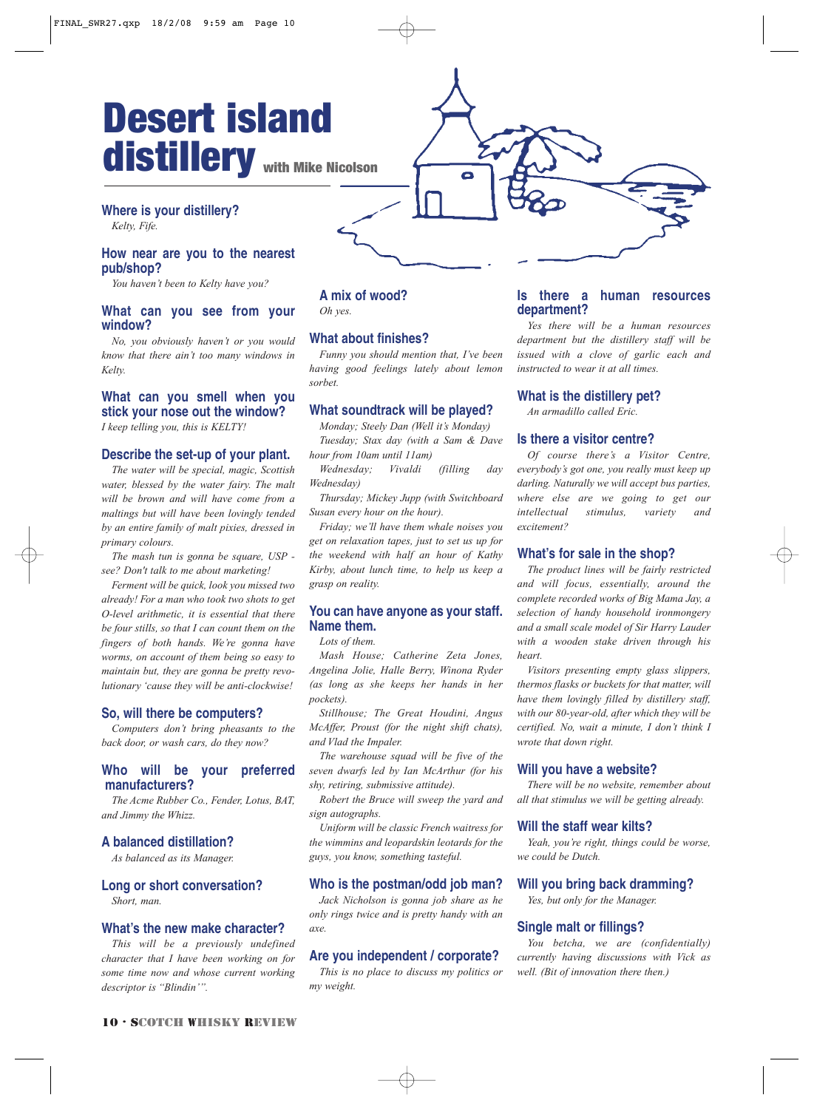## distillery with Mike Nicolson Desert island

### **Where is your distillery?**

*Kelty, Fife.*

#### **How near are you to the nearest pub/shop?**

*You haven't been to Kelty have you?*

#### **What can you see from your window?**

*No, you obviously haven't or you would know that there ain't too many windows in Kelty.*

#### **What can you smell when you stick your nose out the window?**

*I keep telling you, this is KELTY!*

#### **Describe the set-up of your plant.**

*The water will be special, magic, Scottish water, blessed by the water fairy. The malt will be brown and will have come from a maltings but will have been lovingly tended by an entire family of malt pixies, dressed in primary colours.* 

*The mash tun is gonna be square, USP see? Don't talk to me about marketing!*

*Ferment will be quick, look you missed two already! For a man who took two shots to get O-level arithmetic, it is essential that there be four stills, so that I can count them on the fingers of both hands. We're gonna have worms, on account of them being so easy to maintain but, they are gonna be pretty revolutionary 'cause they will be anti-clockwise!*

#### **So, will there be computers?**

*Computers don't bring pheasants to the back door, or wash cars, do they now?*

#### **Who will be your preferred manufacturers?**

*The Acme Rubber Co., Fender, Lotus, BAT, and Jimmy the Whizz.*

#### **A balanced distillation?**

*As balanced as its Manager.*

### **Long or short conversation?**

*Short, man.*

#### **What's the new make character?**

*This will be a previously undefined character that I have been working on for some time now and whose current working descriptor is "Blindin'".*

#### **A mix of wood?** *Oh yes.*

#### **What about finishes?**

*Funny you should mention that, I've been having good feelings lately about lemon sorbet.*

#### **What soundtrack will be played?**

*Monday; Steely Dan (Well it's Monday) Tuesday; Stax day (with a Sam & Dave hour from 10am until 11am)*

*Wednesday; Vivaldi (filling day Wednesday)*

*Thursday; Mickey Jupp (with Switchboard Susan every hour on the hour).* 

*Friday; we'll have them whale noises you get on relaxation tapes, just to set us up for the weekend with half an hour of Kathy Kirby, about lunch time, to help us keep a grasp on reality.*

#### **You can have anyone as your staff. Name them.**

*Lots of them.*

*Mash House; Catherine Zeta Jones, Angelina Jolie, Halle Berry, Winona Ryder (as long as she keeps her hands in her pockets).* 

*Stillhouse; The Great Houdini, Angus McAffer, Proust (for the night shift chats), and Vlad the Impaler.* 

*The warehouse squad will be five of the seven dwarfs led by Ian McArthur (for his shy, retiring, submissive attitude).*

*Robert the Bruce will sweep the yard and sign autographs.* 

*Uniform will be classic French waitress for the wimmins and leopardskin leotards for the guys, you know, something tasteful.*

#### **Who is the postman/odd job man?**

*Jack Nicholson is gonna job share as he only rings twice and is pretty handy with an axe.*

#### **Are you independent / corporate?**

*This is no place to discuss my politics or my weight.*

#### **Is there a human resources department?**

*Yes there will be a human resources department but the distillery staff will be issued with a clove of garlic each and instructed to wear it at all times.*

#### **What is the distillery pet?**

*An armadillo called Eric.*

#### **Is there a visitor centre?**

*Of course there's a Visitor Centre, everybody's got one, you really must keep up darling. Naturally we will accept bus parties, where else are we going to get our intellectual stimulus, variety and excitement?*

#### **What's for sale in the shop?**

*The product lines will be fairly restricted and will focus, essentially, around the complete recorded works of Big Mama Jay, a selection of handy household ironmongery and a small scale model of Sir Harry Lauder with a wooden stake driven through his heart.* 

*Visitors presenting empty glass slippers, thermos flasks or buckets for that matter, will have them lovingly filled by distillery staff, with our 80-year-old, after which they will be certified. No, wait a minute, I don't think I wrote that down right.*

#### **Will you have a website?**

*There will be no website, remember about all that stimulus we will be getting already.*

#### **Will the staff wear kilts?**

*Yeah, you're right, things could be worse, we could be Dutch.*

#### **Will you bring back dramming?**

*Yes, but only for the Manager.*

#### **Single malt or fillings?**

*You betcha, we are (confidentially) currently having discussions with Vick as well. (Bit of innovation there then.)*

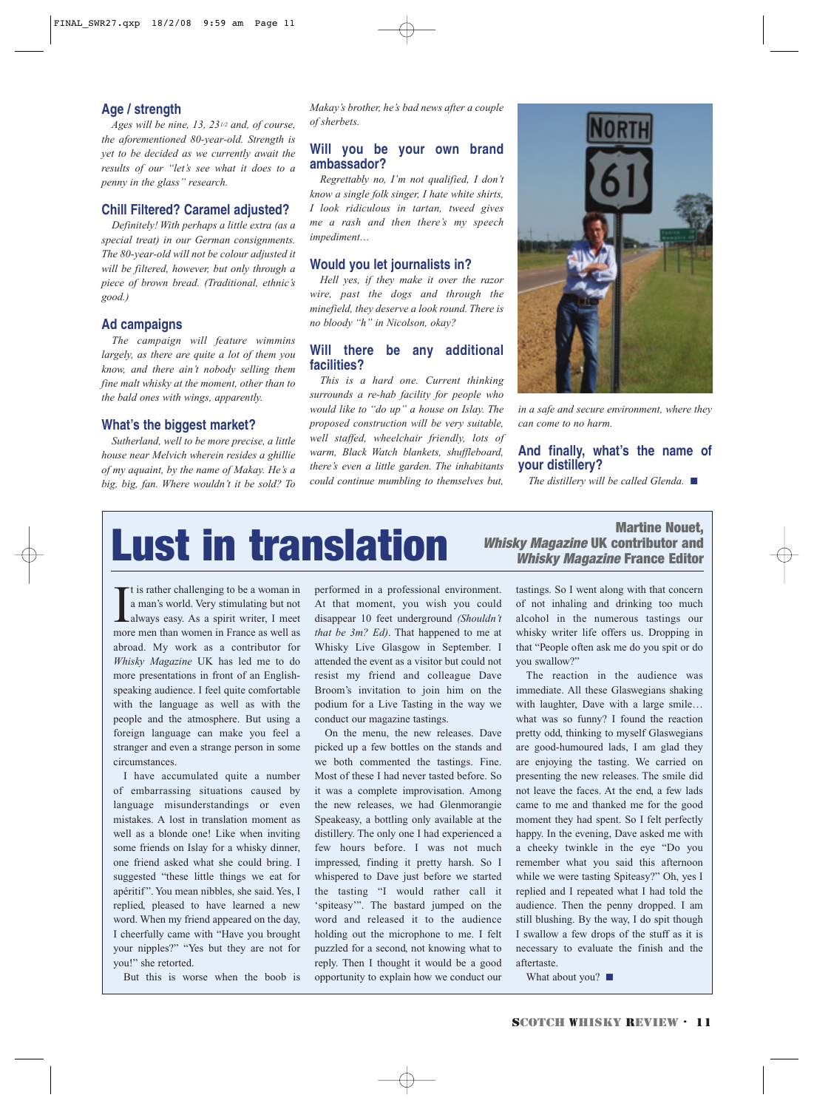#### **Age / strength**

*Ages will be nine, 13, 231/2 and, of course, the aforementioned 80-year-old. Strength is yet to be decided as we currently await the results of our "let's see what it does to a penny in the glass" research.*

#### **Chill Filtered? Caramel adjusted?**

*Definitely! With perhaps a little extra (as a special treat) in our German consignments. The 80-year-old will not be colour adjusted it will be filtered, however, but only through a piece of brown bread. (Traditional, ethnic's good.)*

#### **Ad campaigns**

*The campaign will feature wimmins largely, as there are quite a lot of them you know, and there ain't nobody selling them fine malt whisky at the moment, other than to the bald ones with wings, apparently.*

#### **What's the biggest market?**

*Sutherland, well to be more precise, a little house near Melvich wherein resides a ghillie of my aquaint, by the name of Makay. He's a big, big, fan. Where wouldn't it be sold? To*

*Makay's brother, he's bad news after a couple of sherbets.*

#### **Will you be your own brand ambassador?**

*Regrettably no, I'm not qualified, I don't know a single folk singer, I hate white shirts, I look ridiculous in tartan, tweed gives me a rash and then there's my speech impediment…* 

#### **Would you let journalists in?**

*Hell yes, if they make it over the razor wire, past the dogs and through the minefield, they deserve a look round. There is no bloody "h" in Nicolson, okay?*

#### **Will there be any additional facilities?**

*This is a hard one. Current thinking surrounds a re-hab facility for people who would like to "do up" a house on Islay. The proposed construction will be very suitable, well staffed, wheelchair friendly, lots of warm, Black Watch blankets, shuffleboard, there's even a little garden. The inhabitants could continue mumbling to themselves but,*



*in a safe and secure environment, where they can come to no harm.*

#### **And finally, what's the name of your distillery?**

*The distillery will be called Glenda.* ■

# Martine Nouet,

Whisky Magazine UK contributor and Whisky Magazine France Editor

I t is rather challenging to be a woman in a man's world. Very stimulating but not always easy. As a spirit writer, I meet more men than women in France as well as abroad. My work as a contributor for *Whisky Magazine* UK has led me to do more presentations in front of an Englishspeaking audience. I feel quite comfortable with the language as well as with the people and the atmosphere. But using a foreign language can make you feel a stranger and even a strange person in some circumstances.

I have accumulated quite a number of embarrassing situations caused by language misunderstandings or even mistakes. A lost in translation moment as well as a blonde one! Like when inviting some friends on Islay for a whisky dinner, one friend asked what she could bring. I suggested "these little things we eat for apéritif ". You mean nibbles, she said. Yes, I replied, pleased to have learned a new word. When my friend appeared on the day, I cheerfully came with "Have you brought your nipples?" "Yes but they are not for you!" she retorted.

But this is worse when the boob is

performed in a professional environment. At that moment, you wish you could disappear 10 feet underground *(Shouldn't that be 3m? Ed)*. That happened to me at Whisky Live Glasgow in September. I attended the event as a visitor but could not resist my friend and colleague Dave Broom's invitation to join him on the podium for a Live Tasting in the way we conduct our magazine tastings.

On the menu, the new releases. Dave picked up a few bottles on the stands and we both commented the tastings. Fine. Most of these I had never tasted before. So it was a complete improvisation. Among the new releases, we had Glenmorangie Speakeasy, a bottling only available at the distillery. The only one I had experienced a few hours before. I was not much impressed, finding it pretty harsh. So I whispered to Dave just before we started the tasting "I would rather call it 'spiteasy'". The bastard jumped on the word and released it to the audience holding out the microphone to me. I felt puzzled for a second, not knowing what to reply. Then I thought it would be a good opportunity to explain how we conduct our

tastings. So I went along with that concern of not inhaling and drinking too much alcohol in the numerous tastings our whisky writer life offers us. Dropping in that "People often ask me do you spit or do you swallow?"

The reaction in the audience was immediate. All these Glaswegians shaking with laughter, Dave with a large smile… what was so funny? I found the reaction pretty odd, thinking to myself Glaswegians are good-humoured lads, I am glad they are enjoying the tasting. We carried on presenting the new releases. The smile did not leave the faces. At the end, a few lads came to me and thanked me for the good moment they had spent. So I felt perfectly happy. In the evening, Dave asked me with a cheeky twinkle in the eye "Do you remember what you said this afternoon while we were tasting Spiteasy?" Oh, yes I replied and I repeated what I had told the audience. Then the penny dropped. I am still blushing. By the way, I do spit though I swallow a few drops of the stuff as it is necessary to evaluate the finish and the aftertaste.

What about you? ■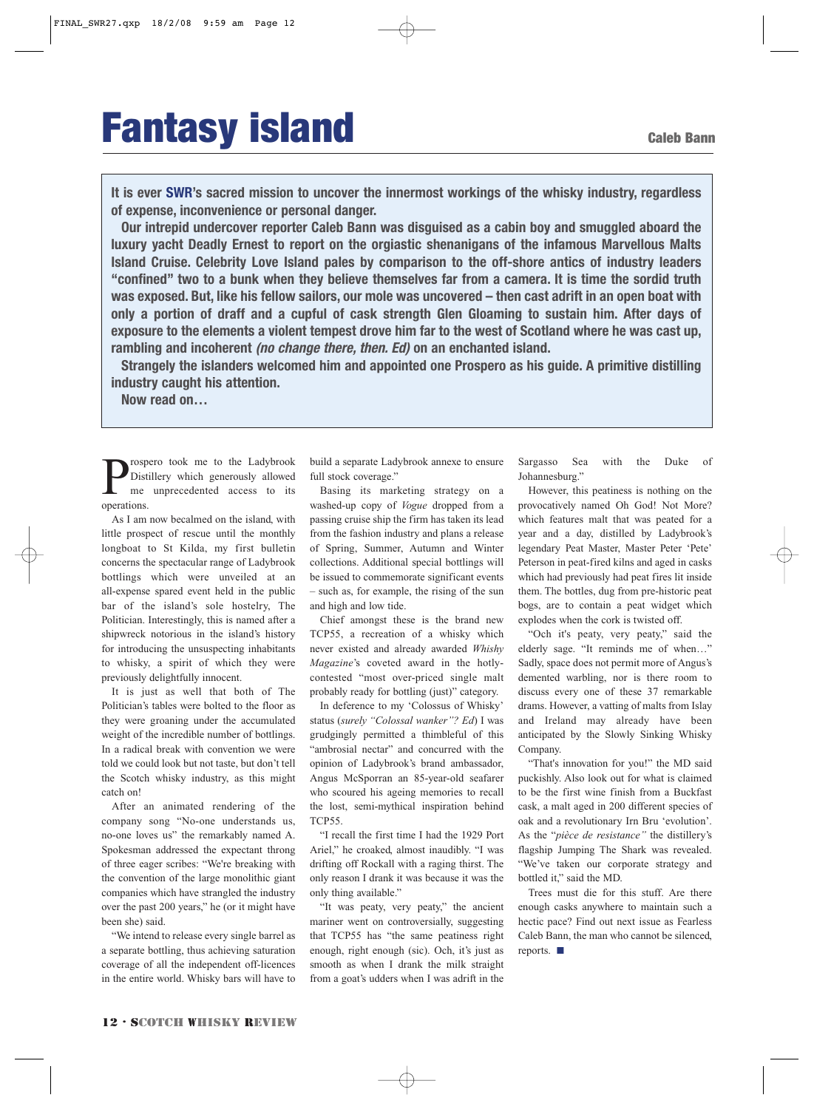# **Fantasy island** Galeb Bann

**It is ever SWR's sacred mission to uncover the innermost workings of the whisky industry, regardless of expense, inconvenience or personal danger.**

**Our intrepid undercover reporter Caleb Bann was disguised as a cabin boy and smuggled aboard the luxury yacht Deadly Ernest to report on the orgiastic shenanigans of the infamous Marvellous Malts Island Cruise. Celebrity Love Island pales by comparison to the off-shore antics of industry leaders "confined" two to a bunk when they believe themselves far from a camera. It is time the sordid truth was exposed. But, like his fellow sailors, our mole was uncovered – then cast adrift in an open boat with only a portion of draff and a cupful of cask strength Glen Gloaming to sustain him. After days of exposure to the elements a violent tempest drove him far to the west of Scotland where he was cast up, rambling and incoherent (no change there, then. Ed) on an enchanted island.**

**Strangely the islanders welcomed him and appointed one Prospero as his guide. A primitive distilling industry caught his attention.**

**Now read on…**

**P** rospero took me to the Ladybrook<br>me unprecedented access to its<br>operations Distillery which generously allowed me unprecedented access to its operations.

As I am now becalmed on the island, with little prospect of rescue until the monthly longboat to St Kilda, my first bulletin concerns the spectacular range of Ladybrook bottlings which were unveiled at an all-expense spared event held in the public bar of the island's sole hostelry, The Politician. Interestingly, this is named after a shipwreck notorious in the island's history for introducing the unsuspecting inhabitants to whisky, a spirit of which they were previously delightfully innocent.

It is just as well that both of The Politician's tables were bolted to the floor as they were groaning under the accumulated weight of the incredible number of bottlings. In a radical break with convention we were told we could look but not taste, but don't tell the Scotch whisky industry, as this might catch on!

After an animated rendering of the company song "No-one understands us, no-one loves us" the remarkably named A. Spokesman addressed the expectant throng of three eager scribes: "We're breaking with the convention of the large monolithic giant companies which have strangled the industry over the past 200 years," he (or it might have been she) said.

"We intend to release every single barrel as a separate bottling, thus achieving saturation coverage of all the independent off-licences in the entire world. Whisky bars will have to

build a separate Ladybrook annexe to ensure full stock coverage."

Basing its marketing strategy on a washed-up copy of *Vogue* dropped from a passing cruise ship the firm has taken its lead from the fashion industry and plans a release of Spring, Summer, Autumn and Winter collections. Additional special bottlings will be issued to commemorate significant events – such as, for example, the rising of the sun and high and low tide.

Chief amongst these is the brand new TCP55, a recreation of a whisky which never existed and already awarded *Whishy Magazine*'s coveted award in the hotlycontested "most over-priced single malt probably ready for bottling (just)" category.

In deference to my 'Colossus of Whisky' status (*surely "Colossal wanker"? Ed*) I was grudgingly permitted a thimbleful of this "ambrosial nectar" and concurred with the opinion of Ladybrook's brand ambassador, Angus McSporran an 85-year-old seafarer who scoured his ageing memories to recall the lost, semi-mythical inspiration behind TCP55.

"I recall the first time I had the 1929 Port Ariel," he croaked, almost inaudibly. "I was drifting off Rockall with a raging thirst. The only reason I drank it was because it was the only thing available."

"It was peaty, very peaty," the ancient mariner went on controversially, suggesting that TCP55 has "the same peatiness right enough, right enough (sic). Och, it's just as smooth as when I drank the milk straight from a goat's udders when I was adrift in the Sargasso Sea with the Duke of Johannesburg."

However, this peatiness is nothing on the provocatively named Oh God! Not More? which features malt that was peated for a year and a day, distilled by Ladybrook's legendary Peat Master, Master Peter 'Pete' Peterson in peat-fired kilns and aged in casks which had previously had peat fires lit inside them. The bottles, dug from pre-historic peat bogs, are to contain a peat widget which explodes when the cork is twisted off.

"Och it's peaty, very peaty," said the elderly sage. "It reminds me of when…" Sadly, space does not permit more of Angus's demented warbling, nor is there room to discuss every one of these 37 remarkable drams. However, a vatting of malts from Islay and Ireland may already have been anticipated by the Slowly Sinking Whisky Company.

"That's innovation for you!" the MD said puckishly. Also look out for what is claimed to be the first wine finish from a Buckfast cask, a malt aged in 200 different species of oak and a revolutionary Irn Bru 'evolution'. As the "*pièce de resistance"* the distillery's flagship Jumping The Shark was revealed. "We've taken our corporate strategy and bottled it," said the MD.

Trees must die for this stuff. Are there enough casks anywhere to maintain such a hectic pace? Find out next issue as Fearless Caleb Bann, the man who cannot be silenced, reports. ■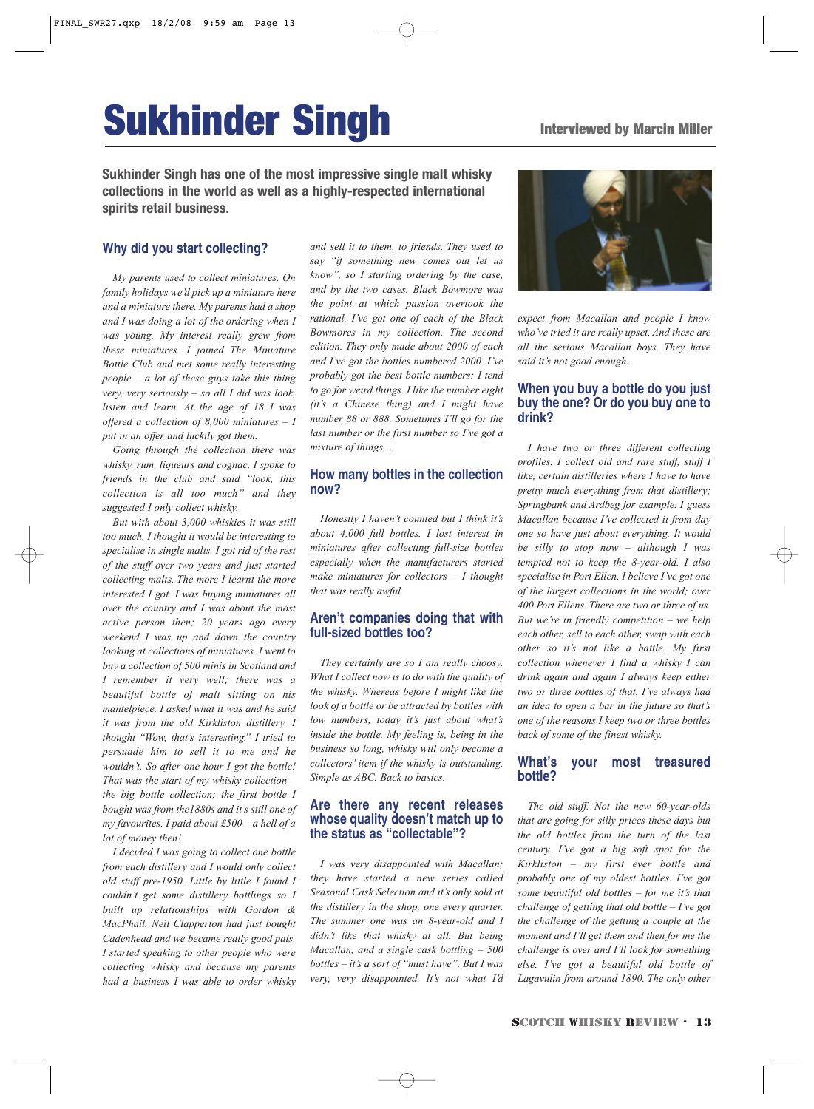# **Sukhinder Singh Interviewed by Marcin Miller**

**Sukhinder Singh has one of the most impressive single malt whisky collections in the world as well as a highly-respected international spirits retail business.**

#### **Why did you start collecting?**

*My parents used to collect miniatures. On family holidays we'd pick up a miniature here and a miniature there. My parents had a shop and I was doing a lot of the ordering when I was young. My interest really grew from these miniatures. I joined The Miniature Bottle Club and met some really interesting people – a lot of these guys take this thing very, very seriously – so all I did was look, listen and learn. At the age of 18 I was offered a collection of 8,000 miniatures – I put in an offer and luckily got them.* 

*Going through the collection there was whisky, rum, liqueurs and cognac. I spoke to friends in the club and said "look, this collection is all too much" and they suggested I only collect whisky.* 

*But with about 3,000 whiskies it was still too much. I thought it would be interesting to specialise in single malts. I got rid of the rest of the stuff over two years and just started collecting malts. The more I learnt the more interested I got. I was buying miniatures all over the country and I was about the most active person then; 20 years ago every weekend I was up and down the country looking at collections of miniatures. I went to buy a collection of 500 minis in Scotland and I remember it very well; there was a beautiful bottle of malt sitting on his mantelpiece. I asked what it was and he said it was from the old Kirkliston distillery. I thought "Wow, that's interesting." I tried to persuade him to sell it to me and he wouldn't. So after one hour I got the bottle! That was the start of my whisky collection – the big bottle collection; the first bottle I bought was from the1880s and it's still one of my favourites. I paid about £500 – a hell of a lot of money then!* 

*I decided I was going to collect one bottle from each distillery and I would only collect old stuff pre-1950. Little by little I found I couldn't get some distillery bottlings so I built up relationships with Gordon & MacPhail. Neil Clapperton had just bought Cadenhead and we became really good pals. I started speaking to other people who were collecting whisky and because my parents had a business I was able to order whisky*

*and sell it to them, to friends. They used to say "if something new comes out let us know", so I starting ordering by the case, and by the two cases. Black Bowmore was the point at which passion overtook the rational. I've got one of each of the Black Bowmores in my collection. The second edition. They only made about 2000 of each and I've got the bottles numbered 2000. I've probably got the best bottle numbers: I tend to go for weird things. I like the number eight (it's a Chinese thing) and I might have number 88 or 888. Sometimes I'll go for the last number or the first number so I've got a mixture of things…*

#### **How many bottles in the collection now?**

*Honestly I haven't counted but I think it's about 4,000 full bottles. I lost interest in miniatures after collecting full-size bottles especially when the manufacturers started make miniatures for collectors – I thought that was really awful.* 

#### **Aren't companies doing that with full-sized bottles too?**

*They certainly are so I am really choosy. What I collect now is to do with the quality of the whisky. Whereas before I might like the look of a bottle or be attracted by bottles with low numbers, today it's just about what's inside the bottle. My feeling is, being in the business so long, whisky will only become a collectors' item if the whisky is outstanding. Simple as ABC. Back to basics.*

#### **Are there any recent releases whose quality doesn't match up to the status as "collectable"?**

*I was very disappointed with Macallan; they have started a new series called Seasonal Cask Selection and it's only sold at the distillery in the shop, one every quarter. The summer one was an 8-year-old and I didn't like that whisky at all. But being Macallan, and a single cask bottling – 500 bottles – it's a sort of "must have". But I was very, very disappointed. It's not what I'd*



*expect from Macallan and people I know who've tried it are really upset. And these are all the serious Macallan boys. They have said it's not good enough.*

#### **When you buy a bottle do you just buy the one? Or do you buy one to drink?**

*I have two or three different collecting profiles. I collect old and rare stuff, stuff I like, certain distilleries where I have to have pretty much everything from that distillery; Springbank and Ardbeg for example. I guess Macallan because I've collected it from day one so have just about everything. It would be silly to stop now – although I was tempted not to keep the 8-year-old. I also specialise in Port Ellen. I believe I've got one of the largest collections in the world; over 400 Port Ellens. There are two or three of us. But we're in friendly competition – we help each other, sell to each other, swap with each other so it's not like a battle. My first collection whenever I find a whisky I can drink again and again I always keep either two or three bottles of that. I've always had an idea to open a bar in the future so that's one of the reasons I keep two or three bottles back of some of the finest whisky.* 

#### **What's your most treasured bottle?**

*The old stuff. Not the new 60-year-olds that are going for silly prices these days but the old bottles from the turn of the last century. I've got a big soft spot for the Kirkliston – my first ever bottle and probably one of my oldest bottles. I've got some beautiful old bottles – for me it's that challenge of getting that old bottle – I've got the challenge of the getting a couple at the moment and I'll get them and then for me the challenge is over and I'll look for something else. I've got a beautiful old bottle of Lagavulin from around 1890. The only other*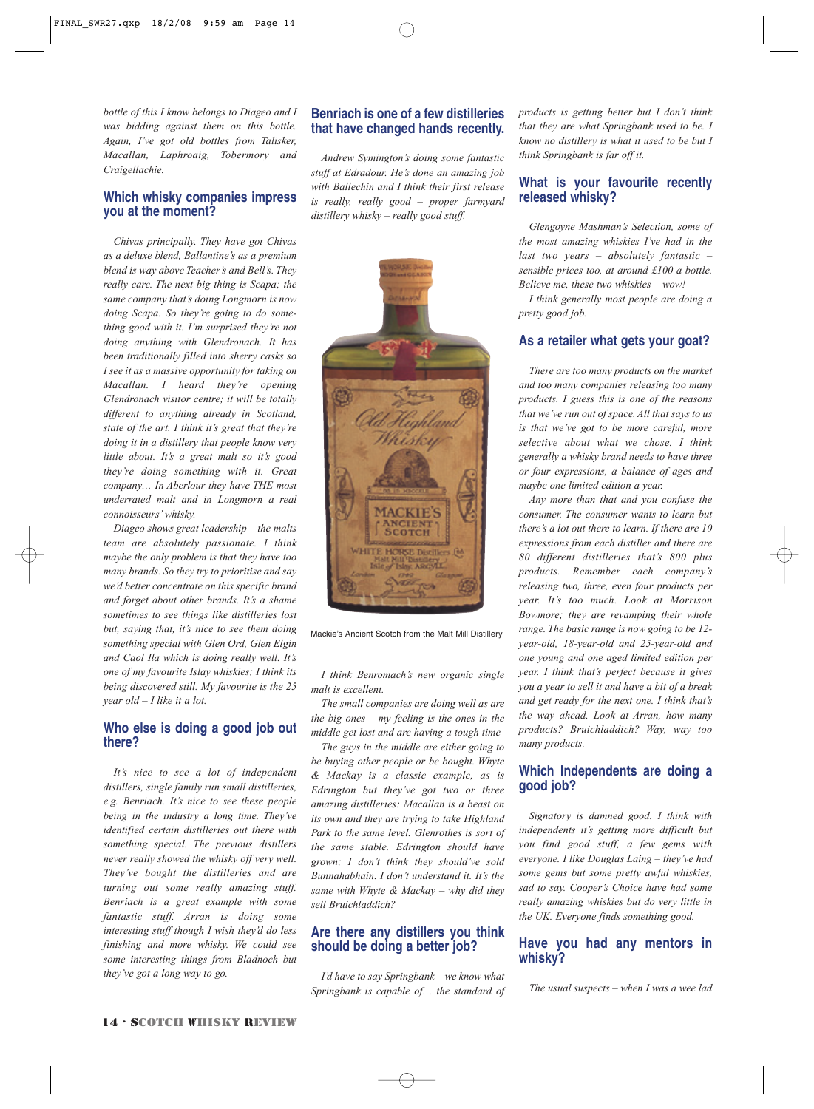*bottle of this I know belongs to Diageo and I was bidding against them on this bottle. Again, I've got old bottles from Talisker, Macallan, Laphroaig, Tobermory and Craigellachie.* 

#### **Which whisky companies impress you at the moment?**

*Chivas principally. They have got Chivas as a deluxe blend, Ballantine's as a premium blend is way above Teacher's and Bell's. They really care. The next big thing is Scapa; the same company that's doing Longmorn is now doing Scapa. So they're going to do something good with it. I'm surprised they're not doing anything with Glendronach. It has been traditionally filled into sherry casks so I see it as a massive opportunity for taking on Macallan. I heard they're opening Glendronach visitor centre; it will be totally different to anything already in Scotland, state of the art. I think it's great that they're doing it in a distillery that people know very little about. It's a great malt so it's good they're doing something with it. Great company… In Aberlour they have THE most underrated malt and in Longmorn a real connoisseurs' whisky.*

*Diageo shows great leadership – the malts team are absolutely passionate. I think maybe the only problem is that they have too many brands. So they try to prioritise and say we'd better concentrate on this specific brand and forget about other brands. It's a shame sometimes to see things like distilleries lost but, saying that, it's nice to see them doing something special with Glen Ord, Glen Elgin and Caol Ila which is doing really well. It's one of my favourite Islay whiskies; I think its being discovered still. My favourite is the 25 year old – I like it a lot.*

#### **Who else is doing a good job out there?**

*It's nice to see a lot of independent distillers, single family run small distilleries, e.g. Benriach. It's nice to see these people being in the industry a long time. They've identified certain distilleries out there with something special. The previous distillers never really showed the whisky off very well. They've bought the distilleries and are turning out some really amazing stuff. Benriach is a great example with some fantastic stuff. Arran is doing some interesting stuff though I wish they'd do less finishing and more whisky. We could see some interesting things from Bladnoch but they've got a long way to go.* 

#### **Benriach is one of a few distilleries that have changed hands recently.**

*Andrew Symington's doing some fantastic stuff at Edradour. He's done an amazing job with Ballechin and I think their first release is really, really good – proper farmyard distillery whisky – really good stuff.* 



Mackie's Ancient Scotch from the Malt Mill Distillery

*I think Benromach's new organic single malt is excellent.*

*The small companies are doing well as are the big ones – my feeling is the ones in the middle get lost and are having a tough time*

*The guys in the middle are either going to be buying other people or be bought. Whyte & Mackay is a classic example, as is Edrington but they've got two or three amazing distilleries: Macallan is a beast on its own and they are trying to take Highland Park to the same level. Glenrothes is sort of the same stable. Edrington should have grown; I don't think they should've sold Bunnahabhain. I don't understand it. It's the same with Whyte & Mackay – why did they sell Bruichladdich?* 

#### **Are there any distillers you think should be doing a better job?**

*I'd have to say Springbank – we know what Springbank is capable of… the standard of* *products is getting better but I don't think that they are what Springbank used to be. I know no distillery is what it used to be but I think Springbank is far off it.*

#### **What is your favourite recently released whisky?**

*Glengoyne Mashman's Selection, some of the most amazing whiskies I've had in the last two years – absolutely fantastic – sensible prices too, at around £100 a bottle. Believe me, these two whiskies – wow!* 

*I think generally most people are doing a pretty good job.*

#### **As a retailer what gets your goat?**

*There are too many products on the market and too many companies releasing too many products. I guess this is one of the reasons that we've run out of space. All that says to us is that we've got to be more careful, more selective about what we chose. I think generally a whisky brand needs to have three or four expressions, a balance of ages and maybe one limited edition a year.*

*Any more than that and you confuse the consumer. The consumer wants to learn but there's a lot out there to learn. If there are 10 expressions from each distiller and there are 80 different distilleries that's 800 plus products. Remember each company's releasing two, three, even four products per year. It's too much. Look at Morrison Bowmore; they are revamping their whole range. The basic range is now going to be 12 year-old, 18-year-old and 25-year-old and one young and one aged limited edition per year. I think that's perfect because it gives you a year to sell it and have a bit of a break and get ready for the next one. I think that's the way ahead. Look at Arran, how many products? Bruichladdich? Way, way too many products.* 

#### **Which Independents are doing a good job?**

*Signatory is damned good. I think with independents it's getting more difficult but you find good stuff, a few gems with everyone. I like Douglas Laing – they've had some gems but some pretty awful whiskies, sad to say. Cooper's Choice have had some really amazing whiskies but do very little in the UK. Everyone finds something good.* 

#### **Have you had any mentors in whisky?**

*The usual suspects – when I was a wee lad*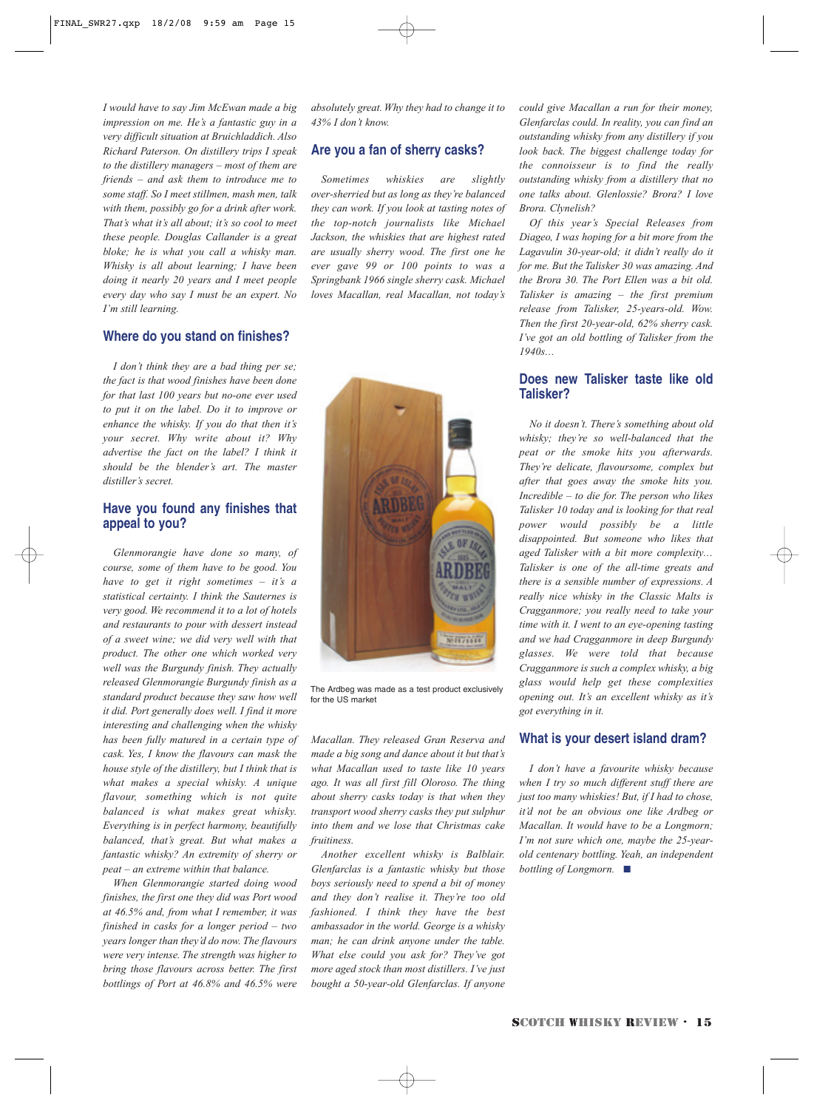*I would have to say Jim McEwan made a big impression on me. He's a fantastic guy in a very difficult situation at Bruichladdich. Also Richard Paterson. On distillery trips I speak to the distillery managers – most of them are friends – and ask them to introduce me to some staff. So I meet stillmen, mash men, talk with them, possibly go for a drink after work. That's what it's all about; it's so cool to meet these people. Douglas Callander is a great bloke; he is what you call a whisky man. Whisky is all about learning; I have been doing it nearly 20 years and I meet people every day who say I must be an expert. No I'm still learning.*

#### **Where do you stand on finishes?**

*I don't think they are a bad thing per se; the fact is that wood finishes have been done for that last 100 years but no-one ever used to put it on the label. Do it to improve or enhance the whisky. If you do that then it's your secret. Why write about it? Why advertise the fact on the label? I think it should be the blender's art. The master distiller's secret.* 

#### **Have you found any finishes that appeal to you?**

*Glenmorangie have done so many, of course, some of them have to be good. You have to get it right sometimes – it's a statistical certainty. I think the Sauternes is very good. We recommend it to a lot of hotels and restaurants to pour with dessert instead of a sweet wine; we did very well with that product. The other one which worked very well was the Burgundy finish. They actually released Glenmorangie Burgundy finish as a standard product because they saw how well it did. Port generally does well. I find it more interesting and challenging when the whisky has been fully matured in a certain type of cask. Yes, I know the flavours can mask the house style of the distillery, but I think that is what makes a special whisky. A unique flavour, something which is not quite balanced is what makes great whisky. Everything is in perfect harmony, beautifully balanced, that's great. But what makes a fantastic whisky? An extremity of sherry or peat – an extreme within that balance.*

*When Glenmorangie started doing wood finishes, the first one they did was Port wood at 46.5% and, from what I remember, it was finished in casks for a longer period – two years longer than they'd do now. The flavours were very intense. The strength was higher to bring those flavours across better. The first bottlings of Port at 46.8% and 46.5% were* *absolutely great. Why they had to change it to 43% I don't know.* 

#### **Are you a fan of sherry casks?**

*Sometimes whiskies are slightly over-sherried but as long as they're balanced they can work. If you look at tasting notes of the top-notch journalists like Michael Jackson, the whiskies that are highest rated are usually sherry wood. The first one he ever gave 99 or 100 points to was a Springbank 1966 single sherry cask. Michael loves Macallan, real Macallan, not today's*



The Ardbeg was made as a test product exclusively for the US market

*Macallan. They released Gran Reserva and made a big song and dance about it but that's what Macallan used to taste like 10 years ago. It was all first fill Oloroso. The thing about sherry casks today is that when they transport wood sherry casks they put sulphur into them and we lose that Christmas cake fruitiness.*

*Another excellent whisky is Balblair. Glenfarclas is a fantastic whisky but those boys seriously need to spend a bit of money and they don't realise it. They're too old fashioned. I think they have the best ambassador in the world. George is a whisky man; he can drink anyone under the table. What else could you ask for? They've got more aged stock than most distillers. I've just bought a 50-year-old Glenfarclas. If anyone* *could give Macallan a run for their money, Glenfarclas could. In reality, you can find an outstanding whisky from any distillery if you look back. The biggest challenge today for the connoisseur is to find the really outstanding whisky from a distillery that no one talks about. Glenlossie? Brora? I love Brora. Clynelish?* 

*Of this year's Special Releases from Diageo, I was hoping for a bit more from the Lagavulin 30-year-old; it didn't really do it for me. But the Talisker 30 was amazing. And the Brora 30. The Port Ellen was a bit old. Talisker is amazing – the first premium release from Talisker, 25-years-old. Wow. Then the first 20-year-old, 62% sherry cask. I've got an old bottling of Talisker from the 1940s…* 

#### **Does new Talisker taste like old Talisker?**

*No it doesn't. There's something about old whisky; they're so well-balanced that the peat or the smoke hits you afterwards. They're delicate, flavoursome, complex but after that goes away the smoke hits you. Incredible – to die for. The person who likes Talisker 10 today and is looking for that real power would possibly be a little disappointed. But someone who likes that aged Talisker with a bit more complexity… Talisker is one of the all-time greats and there is a sensible number of expressions. A really nice whisky in the Classic Malts is Cragganmore; you really need to take your time with it. I went to an eye-opening tasting and we had Cragganmore in deep Burgundy glasses. We were told that because Cragganmore is such a complex whisky, a big glass would help get these complexities opening out. It's an excellent whisky as it's got everything in it.* 

#### **What is your desert island dram?**

*I don't have a favourite whisky because when I try so much different stuff there are just too many whiskies! But, if I had to chose, it'd not be an obvious one like Ardbeg or Macallan. It would have to be a Longmorn; I'm not sure which one, maybe the 25-yearold centenary bottling. Yeah, an independent bottling of Longmorn.* ■